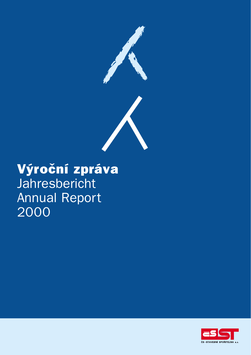

# Výroční zpráva Jahresbericht **Annual Report** 2000

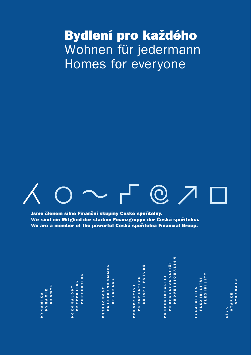# **Bydlení pro každého** Wohnen für jedermann Homes for everyone



Jsme členem silné Finanční skupiny České spořitelny. Wir sind ein Mitglied der starken Finanzgruppe der Česká spořitelna. We are a member of the powerful Česká spořitelna Financial Group.

GROWTH

DYNAMIK

**DYNAMIKA** 

PERFECTION PERFEKTION DOKONALOST

ENTGEGENKOMMEN **OPENNESS** VSTŘÍCNOST

BRIGHT FUTURE PERSPEKTIVE PERSPEKTIVA

PROFESSIONALISM PROFESSIONALITÄT PROFESIONALITA

FLEXIBILITY FLEXIBILITÄT FLEXIBILITA

STRENGTH STÄRKE SILA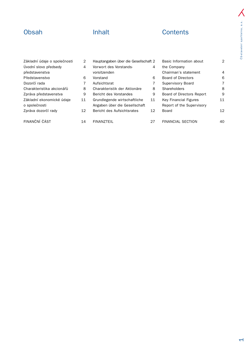# Obsah Inhalt Contents

| Základní údaje o společnosti | $\overline{2}$ | Hauptangaben über die Gesellschaft 2 |    | Basic Information about          | 2              |
|------------------------------|----------------|--------------------------------------|----|----------------------------------|----------------|
| Úvodní slovo předsedy        | 4              | Vorwort des Vorstands-               | 4  | the Company                      |                |
| představenstva               |                | vorsitzenden                         |    | Chairman's statement             | $\overline{4}$ |
| Představenstvo               | 6              | Vorstand                             | 6  | Board of Directors               | 6              |
| Dozorčí rada                 |                | Aufsichtsrat                         |    | Supervisory Board                | 7              |
| Charakteristika akcionářů    | 8              | Charakteristik der Aktionäre         | 8  | Shareholders                     | 8              |
| Zpráva představenstva        | 9              | Bericht des Vorstandes               | 9  | <b>Board of Directors Report</b> | 9              |
| Základní ekonomické údaje    | 11             | Grundlegende wirtschaftliche         | 11 | Key Financial Figures            | 11             |
| o společnosti                |                | Angaben über die Gesellschaft        |    | Report of the Supervisory        |                |
| Zpráva dozorčí rady          | 12             | Bericht des Aufsichtsrates           | 12 | Board                            | 12             |
| FINANČNÍ ČÁST                | 14             | <b>FINANZTEIL</b>                    | 27 | <b>FINANCIAL SECTION</b>         | 40             |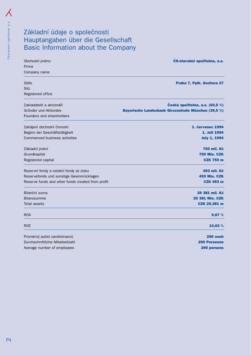# Základní údaje o spoleãnosti Hauptangaben über die Gesellschaft Basic Information about the Company

| Obchodní jméno                                    | ČS-stavební spořitelna, a.s.                               |
|---------------------------------------------------|------------------------------------------------------------|
| Firma                                             |                                                            |
| Company name                                      |                                                            |
| Sídlo                                             | Praha 7, Pplk. Sochora 27                                  |
| Sitz                                              |                                                            |
| Registered office                                 |                                                            |
| Zakladatelé a akcionáři                           | Česká spořitelna, a.s. (60,5 %)                            |
| Gründer und Aktionäre                             | <b>Bayerische Landesbank Girozentrale München (39,5 %)</b> |
| Founders and shareholders                         |                                                            |
| Zahájení obchodní činnosti                        | <b>1. červenec 1994</b>                                    |
| Beginn der Geschäftstätigkeit                     | 1. Juli 1994                                               |
| Commenced business activities                     | <b>July 1, 1994</b>                                        |
| Základní jmění                                    | <b>750 mil. Kč</b>                                         |
| Grundkapital                                      | <b>750 Mio. CZK</b>                                        |
| Registered capital                                | <b>CZK 750 m</b>                                           |
| Rezervní fondy a ostatní fondy ze zisku           | 493 mil. Kč                                                |
| Reservefonds und sonstige Gewinnrücklagen         | 493 Mio. CZK                                               |
| Reserve funds and other funds created from profit | <b>CZK 493 m</b>                                           |
| Bilanční suma                                     | 29 381 mil. Kč                                             |
| <b>Bilanzsumme</b>                                | <b>29 381 Mio. CZK</b>                                     |
| Total assets                                      | <b>CZK 29,381 m</b>                                        |
| <b>ROA</b>                                        | 0,67 %                                                     |
| ROE                                               | 14,63 %                                                    |
| Průměrný počet zaměstnanců                        | 290 osob                                                   |
| Durchschnittliche Mitarbeitzahl                   | <b>290 Personen</b>                                        |
| Average number of employees                       | <b>290 persons</b>                                         |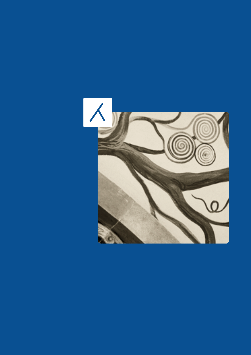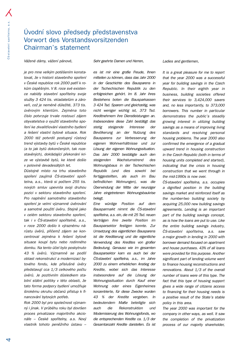# Úvodní slovo předsedy představenstva Vorwort des Vorstandsvorsitzenden Chairman's statement

### Vážené dámy, vážení pánové,

Sehr geehrte Damen und Herren,

je pro mne velkým potěšením konstatovat, že v historii stavebního spoření v âeské republice rok 2000 patfií k rokům úspěšným. V 8. roce své existence nabídly stavební spořitelny svoje služby 3 424 tis. vkladatelům a zároveň, což je neméně důležité, 373 tis. úvěrovým klientům. Zejména toto ãíslo potvrzuje trvale rostoucí zájem obyvatelstva o využití stavebního spoření ke zkvalitňování vlastního bydlení a řešení vlastní bytové situace. Rok 2000 též potvrdil postupný růstový trend výstavby bytů v České republice (a to jak bytÛ dokonãen˘ch, tak rozestavěných), dokládající překonání krize ve výstavbě bytů, ke které došlo v polovině devadesátých let.

DÛstojné místo na trhu stavebního spoření zaujímá ČS-stavební spořitelna, a.s., která si počtem 255 tis. nových smluv upevnila svoji druhou pozici v sektoru stavebního spoření. Pro naplnění samotného stavebního spoření je velmi významné úvěrování a samotné použití úvěru. Stejně jako v celém sektoru stavebního spoření, tak i v ČS-stavební spořitelně, a.s., v roce 2000 došlo k výraznému nárůstu úvěrů, přičemž zájem se koncentroval zejména k řešení bytové situace koupí bytu nebo rodinného domku. Na tento úãel bylo poskytnuto 43 % úvěrů. Významně se podílí oblast rekonstrukcí a modernizací bytového fondu, kde příslušné úvěry představují cca 1/3 celkového počtu úvěrů. Je pozitivním důsledkem stabilní státní politiky v této oblasti, že tato forma podpory bydlení umožňuje širokému okruhu občanů přístup k financování bytových potřeb.

Rok 2000 byl pro společnost významný i jinak. V průběhu roku byl dovršen proces privatizace majoritního akcionáře – České spořitelny, a.s. Nový vlastník tohoto peněžního ústavu -

es ist mir eine große Freude, Ihnen mitteilen zu können, dass das Jahr 2000 in der Geschichte des Bausparens in der Tschechischen Republik zu den erfolgreichen gehört. Im 8. Jahr ihres Bestehens boten die Bausparkassen 3 424 Tsd. Sparern und gleichzeitig, was nicht weniger wichtig ist, 373 Tsd. Kreditnehmern ihre Dienstleistungen an. Insbesondere diese Zahl bestätigt das stetig steigende Interesse der Bevölkerung an der Nutzung des Bausparens zur Verbesserung der eigenen Wohnverhältnisse und zur Lösung der eigenen Wohnungssituation. Das Jahr 2000 bestätigte auch den steigenden Wachstumstrend des Wohnungsbaus in der Tschechischen Republik (und dies sowohl bei fertiggestellten, als auch im Bau befindlichen Wohnungen), was die Überwindung der Mitte der neunziger Jahre eingetretenen Wohnungsbaukrise belegt.

Eine würdige Position auf dem Bausparmarkt nimmt die ČS-stavební spořitelna, a.s. ein, die mit 25 Tsd. neuen Verträgen ihre zweite Position im Bausparsektor festigen konnte. Zur Umsetzung des eigentlichen Bausparens ist die Kreditierung und die eigentliche Verwendung des Kredites von großer Bedeutung. Genauso wie im gesamten Bausparsektor kam es auch bei der ČS-stavební spořitelna, a.s., im Jahre 2000 zu einem erheblichen Anstieg der Kredite, wobei sich das Interesse insbesondere auf die Lösung der Wohnungssituation durch Kauf einer Wohnung oder eines Eigenheimes konzentrierte, für diese Zwecke wurden 43 % der Kredite vergeben. In bedeutendem Maße beteiligte sich auch die Rekonstruktion und Modernisierung des Wohnungsfonds, wo die entsprechenden Kredite ca. 1/3 der Gesamtanzahl Kredite darstellen. Es ist Ladies and gentlemen,

It is a great pleasure for me to report that the year 2000 was a successful year for building savings in the Czech Republic. In their eighth year in business, building societies offered their services to 3,424,000 savers and, no less importantly, to 373,000 borrowers. This number in particular demonstrates the public's steadily growing interest in utilizing building savings as a means of improving living standards and resolving personal housing problems. The year 2000 also confirmed the emergence of a gradual upward trend in housing construction in the Czech Republic (both in terms of housing units completed and started), indicating that the crisis in housing construction that we went through in the mid-1990s is now over.

ČS-stavební spořitelna, a.s. occupies a dignified position in the building savings market and reinforced itself as the number-two building society by acquiring 25,000 new building savings agreements. Lending is an important part of the building savings concept, as is how the loans are put to use. Like the entire building savings industry, ČS-stavební spořitelna, a.s. saw a major growth in lending in 2000 with borrower demand focused on apartment and house purchases. 43% of all loans were provided for this purpose. Another significant part of lending volume went to finance housing reconstructions and renovations. About 1/3 of the overall number of loans were of this type. The fact that this type of housing support gives a wide range of citizens access to financing for their housing needs is a positive result of the State's stable policy in this area.

The year 2000 was important for the company in other ways, as well. It saw the completion of the privatization process of our majority shareholder,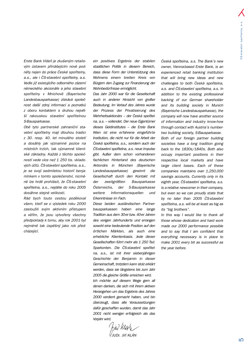Erste Bank Vídeň je zkušeným retailovým ústavem přinášejícím nové podněty nejen do práce České spořitelny, a.s., ale i ČS-stavební spořitelny, a.s. Vedle již existujícího odborného zázemí německého akcionáře a jeho stavební spořitelny v Mnichově (Bayerische Landesbausparkasse) získává spoleãnost další zdroj informací a poznatků z oboru kontaktem s druhou největší rakouskou stavební spořitelnou S-Bausparkasse.

Obě tyto partnerské zahraniční stavební spofiitelny mají dlouhou tradici z 30. resp. 40. let minulého století a dosáhly jak významné pozice na místních trzích, tak významné klientské základny. Každá z těchto společností vede více než 1 250 tis. vkladových účtů. ČS-stavební spořitelna, a.s., je se svojí sedmiletou historií benjamínkem v tomto spoleãenství, nicméně lze hrdě prohlásit, že ČS-stavební spofiitelna, a.s., nejdéle do roku 2005 dosáhne stejné velikosti.

Rád bych touto cestou poděkoval všem, kteří se o výsledek roku 2000 zasloužili svým aktivním přístupem a věřím, že jsou vytvořeny všechny předpoklady k tomu, aby rok 2001 byl nejméně tak úspěšný jako rok předcházející.

ein positives Ergebnis der stabilen staatlichen Politik in diesem Bereich, dass diese Form der Unterstützung des Wohnens einem breiten Kreis von Bürgern den Zugang zur Finanzierung der Wohnbedürfnisse ermöglicht.

Das Jahr 2000 war für die Gesellschaft auch in anderer Hinsicht von großer Bedeutung. Im Verlauf des Jahres wurde der Prozess der Privatisierung des Mehrheitsaktionärs – der Česká spořitelna, a.s. – vollendet. Der neue Eigentümer dieses Geldinstitutes – die Erste Bank Wien ist eine erfahrene eingeführte Institution, die nicht nur für die Arbeit der Česká spořitelna, a.s., sondern auch der ČS-stavební spořitelna, a.s. neue Impulse gibt. Außer dem schon vorhandenen fachlichen Hinterland des deutschen Aktionärs in München (Bayerische Landesbausparkasse) gewinnt die Gesellschaft durch den Kontakt mit der zweitgrößten Bausparkasse Österreichs, der S-Bausparkasse weitere Informationsquellen und Erkenntnisse im Fach.

Diese beiden ausländischen Partnerbausparkassen haben eine lange Tradition aus dem 30-er bzw. 40-er Jahren des vorigen Jahrhunderts und errangen sowohl eine bedeutende Position auf den örtlichen Märkten, als auch eine erhebliche Klientenbasis. Jede dieser Gesellschaften führt mehr als 1 250 Tsd. Sparkonten. Die ČS-stavební spořitelna, a.s., ist mit ihrer siebenjährigen Geschichte der Benjamin in dieser Gemeinschaft, trotzdem kann stolz erklärt werden, dass sie längstens bis zum Jahr 2005 die gleiche Größe erreichen wird.

Ich möchte auf diesem Wege gern all denen danken, die sich mit ihrem aktiven Herangehen um das Ergebnis des Jahres 2000 verdient gemacht haben, und bin überzeugt, dass alle Voraussetzungen dafür geschaffen wurden, damit das Jahr 2001 nicht weniger erfolgreich als das Vorjahr wird.

Jud Klak

Česká spořitelna, a.s. The Bank's new owner, Vienna-based Erste Bank, is an experienced retail banking institution that will bring new ideas and new challenges to both Česká spořitelna, a.s. and ČS-stavební spořitelna, a.s. In addition to the existing professional backing of our German shareholder and its building society in Munich (Bayerische Landesbausparkasse), the company will now have another source of information and industry know-how through contact with Austria's numbertwo building society, S-Bausparkasse. Both of our foreign partner building societies have a long tradition going back to the 1830s/1840s. Both also occupy important positions in their respective local markets and have large client bases. Each of these companies maintains over 1,250,000 savings accounts. Currently only in its eighth year, ČS-stavební spořitelna, a.s. is a relative newcomer in their company, but even so we can proudly state that

by no later than 2005 ČS-stavební sportielna, a.s. will be at least as big as its "big brothers". In this way I would like to thank all

those whose dedication and hard work made our 2000 performance possible and to say that I am confident that everything necessary is in place to make 2001 every bit as successful as the year before.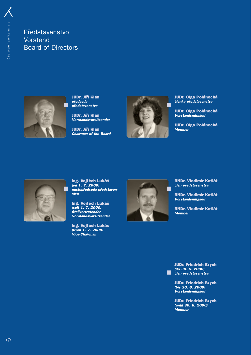# Představenstvo Vorstand Board of Directors



JUDr. Jifií Klán předseda .<br>představenstva

JUDr. Jifií Klán Vorstandsvorsitzender

JUDr. Jifií Klán Chairman of the Board



JUDr. Olga Polánecká členka představenstva

JUDr. Olga Polánecká **Vorstandsmitglied** 

JUDr. Olga Polánecká **Member** 



Ing. Vojtěch Lukáš (od 1. 7. 2000) místopředseda představenstva

Ing. Vojtěch Lukáš (seit 1. 7. 2000) **Stellvertretender** Vorstandsvorsitzender

Ing. Vojtěch Lukáš (from 1. 7. 2000) Vice-Chairman



RNDr. Vladimír Kotláfi člen představenstva

RNDr. Vladimír Kotláfi **Vorstandsmitglied** 

RNDr. Vladimír Kotláfi **Member** 

JUDr. Friedrich Brych (do 30. 6. 2000) **dien** představenstva

> JUDr. Friedrich Brych (bis 30. 6. 2000) Vorstandsmitglied

JUDr. Friedrich Brych (until 30. 6. 2000) **Member**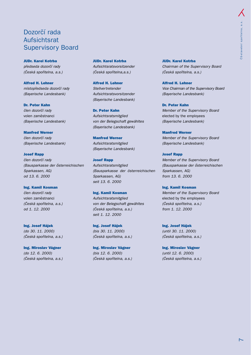# Dozorãí rada Aufsichtsrat Supervisory Board

JUDr. Karel Kotrba pfiedseda dozorãí rady (âeská spofiitelna, a.s.)

Alfred H. Lehner místopředseda dozorčí rady (Bayerische Landesbank)

Dr. Peter Kahn ãlen dozorãí rady volen zaměstnanci (Bayerische Landesbank)

Manfred Werner člen dozorčí rady (Bayerische Landesbank)

Josef Rapp ãlen dozorãí rady (Bausparkasse der ősterreichischen Sparkassen, AG) od 13. 6. 2000

Ing. Kamil Kosman člen dozorčí rady volen zaměstnanci (âeská spofiitelna, a.s.) od 1. 12. 2000

Ing. Josef Hájek (do 30. 11. 2000) (âeská spofiitelna, a.s.)

Ing. Miroslav Vágner (do 12. 6. 2000) (âeská spofiitelna, a.s.) JUDr. Karel Kotrba Aufsichtsratsvorsitzender (âeská spofiitelna,a.s.)

Alfred H. Lehner **Stellvertretender** Aufsichtsratsvorsitzender (Bayerische Landesbank)

Dr. Peter Kahn Aufsichtsratsmitglied von der Belegschaft gewähltes (Bayerische Landesbank)

Manfred Werner Aufsichtsratsmitglied (Bayerische Landesbank)

Josef Rapp Aufsichtsratsmitglied (Bausparkasse der österreichischen Sparkassen, AG) seit 13. 6. 2000

Ing. Kamil Kosman Aufsichtsratsmitglied von der Belegschaft gewähltes (âeská spofiitelna, a.s.) seit 1. 12. 2000

Ing. Josef Hájek (bis 30. 11. 2000) (âeská spofiitelna, a.s.)

Ing. Miroslav Vágner (bis 12. 6. 2000) (âeská spofiitelna, a.s.) JUDr. Karel Kotrba Chairman of the Supervisory Board (âeská spofiitelna, a.s.)

Alfred H. Lehner Vice Chairman of the Supervisory Board (Bayerische Landesbank)

Dr. Peter Kahn Member of the Supervisory Board elected by the employees (Bayerische Landesbank)

Manfred Werner Member of the Supervisory Board (Bayerische Landesbank)

Josef Rapp Member of the Supervisory Board (Bausparkasse der ősterreichischen Sparkassen, AG) from 13. 6. 2000

Ing. Kamil Kosman Member of the Supervisory Board elected by the employees (âeská spofiitelna, a.s.) from 1. 12. 2000

Ing. Josef Hájek (until 30. 11. 2000) (âeská spofiitelna, a.s.)

Ing. Miroslav Vágner (until 12. 6. 2000) (âeská spofiitelna, a.s.)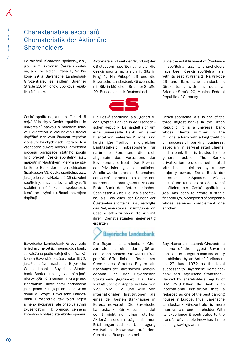# Charakteristika akcionářů Charakteristik der Aktionäre **Shareholders**

Od založení ČS-stavební spořitelny, a.s., jsou jejími akcionáři Česká spořitelna, a.s., se sídlem Praha 1, Na Pfiíkopû 29 a Bayerische Landesbank Girozentrale, se sídlem Brienner Straße 20, Mnichov, Spolková republika Německo.

Aktionäre sind seit der Gründung der ČS-stavební spořitelna, a.s., die Česká spořitelna, a.s., mit Sitz in Prag 1, Na Příkopě 29 und die Bayerische Landesbank Girozentrale, mit Sitz in München, Brienner Straße 20, Bundesrepublik Deutschland.



Česká spořitelna, a.s., patří mezi tři největší banky v České republice. Je univerzální bankou s mnohamilionovou klientelou a dlouholetou tradicí úspěšné bankovní činnosti zejména v obsluze fyzických osob, která se těší všeobecné důvěře občanů. Završením procesu privatizace státního podílu bylo převzetí České spořitelny, a.s., majoritním vlastníkem, kterým se stala Erste Bank der ősterreichischen Sparkassen AG. Česká spořitelna, a.s., jako jeden ze zakladatelů ČS-stavební spořitelny, a.s., sledovala cíl vytvořit stabilní finanční skupinu společností, které se svými službami navzájem doplňují.

Bayerische Landesbank Girozentrale je jedna z největších německých bank. Je založena podle veřejného práva zákonem Bavorského státu z roku 1972, jakožto právní nástupce Bayerische Gemeindebank a Bayerische Staatsbank. Banka disponuje vlastním jměním ve výši 22,9 miliard DEM a je mezinárodními institucemi hodnocena jako jeden z nejlepších bankovních domů v Evropě. Bayerische Landesbank Girozentrale tak tvoří nejen silného akcionáře, ale přispívá svými zkušenostmi i k přenosu cenného know-how v oblasti stavebního spoření.

Die âeská spofiitelna, a.s., gehört zu den größten Banken in der Tschechischen Republik. Es handelt sich um eine universelle Bank mit einer Klientel von mehreren Millionen und langjähriger Tradition erfolgreicher Banktätigkeit insbesondere für natürliche Personen, die sich allgemein des Vertrauens der Bevölkerung erfreut. Der Prozess der Privatisierung des staatlichen Anteils wurde durch die Übernahme der Česká spořitelna, a.s. durch den Mehrheits-aktionär gekrönt, was die Erste Bank der österreichischen Sparkassen AG ist. Die Česká spořitelna, a.s., als einer der Gründer der ČS-stavební spořitelna, a.s., verfolgte das Ziel, eine stabile Finanzgruppe von Gesellschaften zu bilden, die sich mit ihren Dienstleistungen gegenseitig ergänzen.

# **Bayerische Landesbank**

Die Bayerische Landesbank Girozentrale ist eine der größten deutschen Banken. Sie wurde 1972 gemäß öffentlichem Recht per Gesetz des Staates Bayern als Nachfolger der Bayerischen Gemeindebank und der Bayerischen Staatsbank gegründet. Die Bank verfügt über ein Kapital in Höhe von 22,9 Mrd. DM und wird von internationalen Institutionen als eines der besten Bankhäuser in Europa gewertet. Die Bayerische Landesbank Girozentrale bildet somit nicht nur einen starken Aktionär, sondern trägt mit ihren Erfahrungen auch zur Übertragung wertvollen Know-how auf dem Gebiet des Bausparens bei.

Since the establishment of CS-stavební spofiitelna, a.s. its shareholders have been Česká spořitelna, a.s. with its seat at Praha 1, Na Příkopě 29 and Bayerische Landesbank Girozentrale, with its seat at Brienner Straße 20, Munich, Federal Republic of Germany.

Česká spořitelna, a.s. is one of the three largest banks in the Czech Republic. It is a universal bank whose clients number in the millions, a bank with a long tradition of successful banking business, especially in serving retail clients, and a bank that is trusted by the general public. The Bank's privatization process culminated with its acquisition by a new majority owner, Erste Bank der österreichischer Sparkassen AG. As one of the founders of CS-stavební spořitelna, a.s. Česká spořitelna's goal has been to create a stable financial group composed of companies whose services complement one another.

Bayerische Landesbank Girozentrale is one of the biggest Bavarian banks. It is a legal public-law entity established by an Act of Parliament on 27 June 1972 as the legal successor to Bayerische Gemeindebank and Bayerische Staatsbank. Backed by shareholders' equity of D.M. 22.9 billion, the Bank is an international institution that is regarded as one of the best banking houses in Europe. Thus, Bayerische Landesbank Girozentrale is more than just a strong shareholder. With its experience it contributes to the transfer of valuable know-how in the building savings area.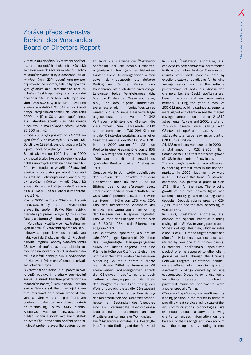# Zpráva představenstva Bericht des Vorstandes Board of Directors Report

V roce 2000 dosáhla ČS-stavební spořitelna, a.s., nejlepších obchodních výsledků za celou svou dosavadní existenci. Těchto rekordních výsledků bylo dosaženo jak díky výborným vnějším podmínkám pro prodej stavebního spoření, tak i díky spolehlivým výkonům obou distribučních cest, tj. poboček České spořitelny, a.s., a vlastní obchodní sítě. V průběhu roku bylo uzavřeno 255 632 nových smluv o stavebním spoření a u dalších 21 342 smluv klienti navýšili svoji cílovou částku. Na konci roku 2000 tak již s ČS-stavební spořitelnou, a.s., stavebně spořilo 739 294 klientů s celkovou sumou cílových částek ve výši 85 300 mil. Kã.

V roce 2000 bylo poskytnuto 24 123 nových úvěrů v celkové výši 2 805 mil. Kč. Oproti roku 1999 tak došlo k nárůstu o 18 % v počtu nově poskytnutých úvěrů.

Stejně jako v roce 1999, i v roce 2000 ovlivňoval tvorbu hospodářského výsledku pokles úrokových sazeb na finančním trhu. Přes tyto tendence vytvořila ČS-stavební spořitelna a.s., zisk po zdanění ve výši 173 mil. Kč. Pokračující růst bilanční sumy byl provázen nárůstem vkladů účastníků stavebního spoření. Objem vkladů se zvýšil o 3 150 mil. Kč a bilanční suma vzrostla o 13 %.

V roce 2000 nabízela ČS-stavební spořitelna, a.s., mladým do 29 let zvýhodněné stavebního spoření SUMA. Této nabídky, představující prémii ve výši 0,1 % z cílové částky a zdarma výhodné cestovní pojištění Kolumbus, využila více než třetina nových klientů. ČS-stavební spořitelna, a.s., oslovovala specializovanou produktovou nabídkou i další skupiny klientů. Prostřednictvím Programu obnovy bytového fondu ČS-stavební spořitelna, a.s., nabízela pomoc při financování oprav družstevních domů. Součástí nabídky byly i zvýhodněné překlenovací úvěry pro zájemce o privatizaci obecních bytÛ.

ČS-stavební spořitelna, a.s., potvrdila svoje vůdčí postavení na trhu v poskytování servisu a služeb klientům prostřednictvím moderních nástrojů komunikace. Rozšířila službu Telebus (služba umožňující klientům informovat se o stavu svého vkladového a úvěro- vého účtu prostřednictvím telefonu) o další novinku v oblasti pasivního telebankingu, službu SMS Telebus. Klienti ČS-stavební spořitelny, a.s., tak například mohou zjišťovat aktuální zůstatek na svém účtu stavebního spoření nebo simulovat průběh stavebního spoření pomoIm Jahre 2000 erzielte die ČS-stavební spofiitelna, a.s. die besten Geschäftsergebnisse in ihrer gesamten bisherigen Existenz. Diese Rekordergebnisse wurden sowohl dank ausgezeichneter äußerer Bedingungen für den Verkauf des Bausparens, als auch durch zuverlässige Leistungen beider Vertriebswege, d.h. über die Filialen der Česká spořitelna, a.s., und das eigene Handelsvertreternetz, erreicht. Im Verlauf des Jahres wurden 255 632 neue Bausparverträge abgeschlossen und bei weiteren 21 342 Verträgen erhöhten die Klienten die Zielsummen. Zum Jahresende 2000 sparten somit schon 739 294 Klienten mit der ČS-stavební spořitelna, a.s. mit einer Gesamtzielsumme von 85 300 Mio. CZK. Im Jahr 2000 wurden 24 123 neue Kredite in einer Gesamthöhe von 2 805 Mio. CZK vergeben. Gegenüber dem Jahr 1999 kam es somit bei der Anzahl neu gewährter Kredite zu einem Anstieg um 18 %.

Genauso wie im Jahr 1999 beeinflusste das Sinken der Zinssätze auf dem Finanzmarkt auch im Jahr 2000 die Bildung des Wirtschaftsergebnisses. Trotz dieser Tendenz erwirtschaftete die ČS-stavební spořitelna a.s., einen Gewinn vor Steuer in Höhe von 173 Mio. CZK. Das sich fortsetzende Wachstum der Bilanzsumme wurde von einem Anstieg der Einlagen der Bausparer begleitet. Das Volumen der Einlagen erhöhte sich um 3 150 Mio. CZK und die Bilanzsumme stieg um 13 %.

Die ČS-stavební spořitelna, a.s. bot im Jahr 2000 jungen Sparern bis 29 Jahren das vergünstigte Bausparprogramm SUMA an. Dieses Angebot, das eine Prämie in Höhe von 0,1 % der Zielsumme und die vorteilhafte kostenlose Reiseversicherung Kolumbus darstellt, nutzte mehr als ein Drittel der Neukunden. Mit spezialisierten Produktangeboten sprach die ČS-stavební spořitelna, a.s. auch weitere Kunden-gruppen an. Vermittels des Programms zur Erneuerung des Wohnungsfonds bietet die ČS-stavební spofiitelna, a.s. Hilfe bei der Finanzierung der Rekonstruktion von Genossenschaftshäusern an. Bestandteil des Angebotes sind auch vergünstigte Überbrückungskredite für Interessenten an der Privatisierung kommunaler Wohnungen.

Die ČS-stavební spořitelna, a.s. bestätigte ihre führende Stellung auf dem Markt bei In 2000, ČS-stavební spořitelna, a.s. achieved its best commercial performance in its entire history to date. These record results were made possible both by excellent external conditions for building savings sales, and by the reliable performance of both our distribution channels, i.e. the Česká spořitelna a.s. branch network and our own sales network. During the year a total of 255,632 new building savings agreements were signed and clients raised their target savings amounts on another 21,342 agreements. At year end 2000, a total of 739,294 clients were saving with ČS-stavební spořitelna, a.s. with an aggregate total target savings amount of CZK 85,300 million.

24,123 new loans were granted in 2000 in a total amount of CZK 2,805 million. Compared to 1999, this represents growth of 18% in the number of new loans.

The company's earnings were influenced by declining interest rates in the financial markets in 2000, just as they were in 1999. Despite this trend, ČS-stavební spofiitelna, a.s. posted a profit of CZK 173 million for the year. The ongoing growth of the total assets figure was accompanied by growth in building saver deposits. Deposit volume grew by CZK 3,150 million and the total assets figure was up 13%.

In 2000, ČS-stavební spořitelna, a.s. offered the special incentive building savings plan, SUMA, to young people up to 29 years of age. This plan, which includes a bonus of 0.1% of the target amount and offers free Kolumbus travel insurance, was utilized by over one third of new clients. ČS-stavební spořitelna's specialized product offering appealed to other client groups as well. Through the Housing Renewal Program, ČS-stavební spořitelna, a.s. offered help in financing repairs to apartment buildings owned by housing cooperatives. Discounts on bridge loans for clients interested in purchasing privatized municipal apartments were another special offering.

ČS-stavební spořitelna, a.s. reaffirmed its leading position in the market in terms of providing client services using state-of-theart communications technologies. We expanded Telebus, a service allowing clients to access information on the balance of their savings and loan account over the telephone by adding a new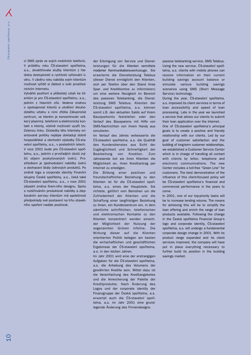cí SMS zpráv ze svých mobilních telefonů. V průběhu roku ČS-stavební spořitelna, a.s., zkvalitňovala služby klientům z hlediska dostupnosti a rychlosti vyřizování úvěru. V závěru roku nabídla svým klientům možnost vyřídit si žádost o úvěr prostřednictvím Internetu.

Vytvářet pozitivní a přátelský vztah ke klientům je pro ČS-stavební spořitelnu, a.s., jedním z hlavních cílů. Vedena snahou o spokojenost klientů a utváření dlouhodobého vztahu s nimi zřídila Zákaznické centrum, ve kterém je koncentrován veškerý písemný, telefonní a elektronický kontakt s klienty, včetně možnosti využít tzv. Zelenou linku. Důsledky této klientsky orientované politiky nejlépe dokladují dobré hospodářské a obchodní výsledky ČS-stavební spořitelny, a.s., v posledních letech. V roce 2001 bude pro ČS-stavební spořitelnu, a.s., jedním z prvořadých úkolů zvýšit objem poskytovaných úvěrů. Prostředkem je zjednodušení nabídky úvěrů a obohacení škály úvěrových produktů. Po změně loga a corporate identity Finanční skupiny České spořitelny, a.s., čeká také ČS-stavební spořitelnu, a.s., v roce 2001 zásadní změna firem-ního designu. Spolu s rozšiřováním produktové nabídky a zlepšováním servisu klientům má společnost předpoklady své postavení na trhu stavebního spoření nadále posilovat.

der Erbringung von Service und Dienstleistungen für die Klienten vermittels moderner Kommunikations-werkzeuge. Sie erweiterte die Dienstleistung Telebus (dieser Dienst ermöglicht den Klienten, sich per Telefon über den Stand ihres Spar- und Kreditkontos zu informieren) um eine weitere Neuigkeit im Bereich des passiven Telebanking, die Dienstleistung SMS Telebus. Klienten der ČS-stavební spořitelna, a.s. können somit z.B. den aktuellen Saldo auf ihrem Bausparkonto feststellen oder den Verlauf des Bausparens mit Hilfe von SMS-Nachrichten von ihrem Handy aus simulieren.

Im Verlauf des Jahres verbesserte die ČS-stavební spořitelna, a.s. die Qualität des Kundendienstes aus Sicht der Zugänglichkeit und Schnelligkeit der Bearbeitung von Krediten. Zum Jahresende bot sie ihren Klienten die Möglichkeit an, ihren Kreditantrag per Internet zu erledigen.

Die Bildung einer positiven und freundschaftlichen Beziehung zu den Klienten ist für die ČS-stavební spořitelna, a.s. eines der Hauptziele. Sie richtete, geführt vom Bemühen um die Zufriedenheit der Klienten und die Schaffung einer langfristigen Beziehung zu ihnen, ein Kundenzentrum ein, in dem sämtliche schriftlichen, telefonischen und elektronischen Kontakte zu den Klienten konzentriert werden einschl. der Möglichkeit der Nutzung der sogenannten Grünen Infoline. Die Wirkung dieser auf die Klienten orientierten Politik belegen am besten die wirtschaftlichen und geschäftlichen Ergebnisse der ČS-stavební spořitelna, a.s. in den letzten Jahren.

Im Jahr 2001 wird eine der erstrangigen Aufgaben für die ČS-stavební spořitelna, a.s. die Anhebung des Volumens der gewährten Kredite sein. Mittel dazu ist die Vereinfachung des Kreditangebotes und die Anreicherung der Palette der Kreditprodukte. Nach Änderung des Logos und der corporate identity der Finanzgruppe der Česká spořitelna, a.s. erwartet auch die ČS-stavební spořitelna, a.s. im Jahr 2001 eine grundlegende Änderung des Firmendesigns.

passive telebanking service, SMS Telebus. Using the new service, ČS-stavební spořitelna, a.s. clients with mobile phones can receive information on their current building savings account balance or simulate various building savings scenarios using SMS (Short Message Service) technology.

During the year, ČS-stavební spořitelna, a.s. improved its client services in terms of loan accessibility and speed of loan processing. Late in the year we launched a service that allows our clients to submit their loan application over the Internet.

One of ČS-stavební spořitelna's principal goals is to create a positive and friendly relationship with our clients. Led by our goal of customer satisfaction and the building of long-term customer relationships, we established a Customer Service Center which is in charge of handling all contact with clients by letter, telephone and electronic communications. The new Center includes a toll-free "Green Line" for customers. The best demonstration of the influence of this client-focused policy will be ČS-stavební spořitelna's financial and commercial performance in the years to come.

In 2001, one of our top-priority tasks will be to increase lending volume. The means for achieving this will be to simplify the loan offering and enrich the range of loan products available. Following the change in the Česká spořitelna Financial Group's logo and corporate identity, ČS-stavební spofiitelna, a.s. will undergo a fundamental corporate design change in 2001. With its product range expanded and its client services improved, the company will have put in place everything necessary to further build its position in the building savings market.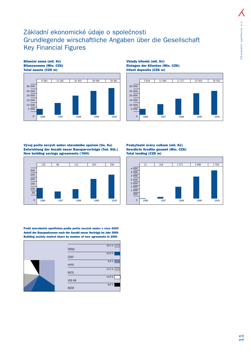# Základní ekonomické údaje o společnosti Grundlegende wirschaftliche Angaben über die Gesellschaft Key Financial Figures

#### Bilanční suma (mil. Kč) Bilanzsumme (Mio. CZK) Total assets (CZK m)



#### Vklady klientů (mil. Kč) Einlagen der Klienten (Mio. CZK) Client deposits (CZK m)



Vývoj počtu nových smluv stavebního spoření (tis. Ks) Entwicklung der Anzahl neuer Bausparverträge (Tsd. Stk.) New building savings agreements ('000)



Poskytnuté úvěry celkem (mil. Kč) Gewährte Kredite gesamt (Mio. CZK) Total lending (CZK m)



Podíl stavebních spořitelen podle počtu nových smluv v roce 2000 Anteil der Bausparkassen nach der Anzahl neuer Verträge im Jahr 2000 Building society market share by number of new agrements in 2000

|               | 34,5 % |
|---------------|--------|
| ČMSS          |        |
|               | 22,9%  |
| ČSST          |        |
|               | 6,8%   |
| <b>HYPO</b>   |        |
|               | 12,3%  |
| <b>RSTS</b>   |        |
|               | 14,9%  |
| <b>VSS KB</b> |        |
|               | 8,6%   |
| WŰST          |        |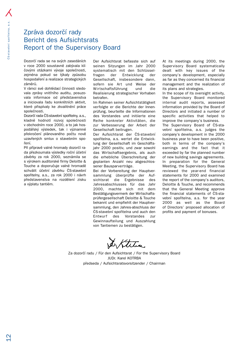# Zpráva dozorãí rady Bericht des Aufsichtsrats Report of the Supervisory Board

Dozorčí rada se na svých zasedáních v roce 2000 soustavně zabývala klíčovými otázkami vývoje společnosti, zejména pokud se týkaly způsobu hospodaření a realizace strategických záměrů.

V rámci své dohlédací ãinnosti sledovala zprávy vnitřního auditu, posuzovala informace od představenstva a iniciovala řadu konkrétních aktivit, které přispívaly ke zkvalitnění práce spoleãnosti.

Dozorčí rada ČS-stavební spořitelny, a.s., kladně hodnotí rozvoj společnosti v obchodním roce 2000, a to jak hospodářský výsledek, tak i významné překročení plánovaného počtu nově uzavřených smluv o stavebním spoření.

Při přípravě valné hromady dozorčí rada přezkoumala výsledky roční účetní závěrky za rok 2000, seznámila se s výrokem auditorské firmy Deloitte & Touche a doporučuje valné hromadě schválit účetní závěrku ČS-stavební spořitelny, a.s., za rok 2000 i návrh představenstva na rozdělení zisku a výplatu tantiém.

Der Aufsichtsrat befasste sich auf seinen Sitzungen im Jahr 2000 systematisch mit den Schlüsselfragen der Entwicklung der Gesellschaft, insbesondere dann, sofern sie Art und Weise der Wirtschaftsführung und die Realisierung strategischer Vorhaben betrafen.

Im Rahmen seiner Aufsichtstätigkeit verfolgte er die Berichte der Innenprüfung, beurteilte die Informationen des Vorstandes und initiierte eine Reihe konkreter Aktivitäten, die zur Verbesserung der Arbeit der Gesellschaft beitrugen.

Der Aufsichtsrat der ČS-stavební spofiitelna, a.s. wertet die Entwicklung der Gesellschaft im Geschäftsjahr 2000 positiv, und zwar sowohl das Wirtschaftsergebnis, als auch die erhebliche Überschreitung der geplanten Anzahl neu abgeschlossener Bausparverträge.

Bei der Vorbereitung der Hauptversammlung überprüfte der Aufsichtsrat die Ergebnisse des Jahresabschlusses für das Jahr 2000, machte sich mit dem Bestätigungsvermerk der Wirtschaftsprüfergesellschaft Deloitte & Touche bekannt und empfiehlt der Hauptversammlung, den Jahres-abschluss der ČS-stavební spořitelna und auch den Entwurf des Vorstandes zur Gewinnaufteilung und Auszahlung von Tantiemen zu bestätigen.

At its meetings during 2000, the Supervisory Board systematically dealt with key issues of the company's development, especially as far as they concerned its financial management and the realization of its plans and strategies.

In the scope of its oversight activity, the Supervisory Board monitored internal audit reports, assessed information provided by the Board of Directors and initiated a number of specific activities that helped to improve the company's business.

The Supervisory Board of ČS-stavební spořitelna, a.s. judges the company's development in the 2000 business year to have been positive, both in terms of the company's earnings and the fact that it exceeded by far the planned number of new building savings agreements. In preparation for the General Meeting, the Supervisory Board has reviewed the year-end financial statements for 2000 and examined the report of the company's auditors, Deloitte & Touche, and recommends that the General Meeting approve the financial statements of CS-stavební spofiitelna, a.s. for the year 2000 as well as the Board of Directors' proposed allocation of profits and payment of bonuses.

S. Ktelia

Za dozorãí radu / Für den Aufsichtsrat / For the Supervisory Board JUDr. Karel KOTRBA pfiedseda / Aufsichtsratsvorsitzender / Chairman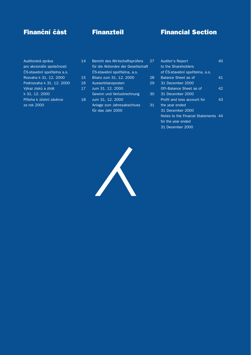# Finanční část Finanzteil **Financial Section**

| Auditorská zpráva           | 14 |
|-----------------------------|----|
| pro akcionáře společnosti   |    |
| ČS-stavební spořitelna a.s. |    |
| Rozvaha k 31, 12, 2000      | 15 |
| Podrozvaha k 31, 12, 2000   | 16 |
| Výkaz zisků a ztrát         | 17 |
| k 31, 12, 2000              |    |
| Příloha k účetní závěrce    | 18 |
| za rok 2000                 |    |
|                             |    |

| 14 | Bericht des Wirtschaftsprüfers     | 27 |
|----|------------------------------------|----|
|    | für die Aktionäre der Gesellschaft |    |
|    | CS-stavební spořitelna, a.s.       |    |
| 15 | Bilanz zum 31, 12, 2000            | 28 |
| 16 | Ausserbilanzposten                 | 29 |
| 17 | zum 31, 12, 2000                   |    |
|    | Gewinn und Verlustrechnung         | 30 |
| 18 | zum 31, 12, 2000                   |    |
|    | Anlage zum Jahresabschluss         | 31 |
|    | fűr das Jahr 2000                  |    |
|    |                                    |    |

| <b>Auditor's Report</b>             |    |
|-------------------------------------|----|
| to the Shareholders                 |    |
| of CS-stavební spořitelna, a.s.     |    |
| Balance Sheet as of                 | 41 |
| 31 December 2000                    |    |
| Off-Balance Sheet as of             | 42 |
| 31 December 2000                    |    |
| Profit and loss account for         | 43 |
| the year ended                      |    |
| 31 December 2000                    |    |
| Notes to the Finacial Statements 44 |    |
| for the year ended                  |    |
| 31 December 2000                    |    |
|                                     |    |

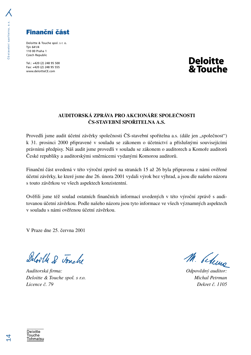# Finanãní ãást

Deloitte & Touche spol. s r. o. Týn 641/4 110 00 Praha 1 Czech Republic

Tel.: +420 (2) 248 95 500 Fax: +420 (2) 248 95 555 www.deloitteCE.com

# **Deloitte** & Touche

# **AUDITORSKÁ ZPRÁVA PRO AKCIONÁŘE SPOLEČNOSTI ČS-STAVEBNÍ SPOŘITELNA A.S.**

Provedli jsme audit účetní závěrky společnosti ČS-stavební spořitelna a.s. (dále jen "společnost") k 31. prosinci 2000 připravené v souladu se zákonem o účetnictví a příslušnými souvisejícími právními předpisy. Náš audit jsme provedli v souladu se zákonem o auditorech a Komoře auditorů České republiky a auditorskými směrnicemi vydanými Komorou auditorů.

Finanční část uvedená v této výroční zprávě na stranách 15 až 26 byla připravena z námi ověřené účetní závěrky, ke které jsme dne 26. února 2001 vydali výrok bez výhrad, a jsou dle našeho názoru s touto závěrkou ve všech aspektech konzistentní.

Ověřili jsme též soulad ostatních finančních informací uvedených v této výroční zprávě s auditovanou účetní závěrkou. Podle našeho názoru jsou tyto informace ve všech významných aspektech v souladu s námi ověřenou účetní závěrkou.

V Praze dne 25. června 2001

Delovale & Touche

*Auditorská firma: Odpovědný auditor: Deloitte & Touche spol. s r.o. Michal Petrman Licence č. 79 Dekret č. 1105*

M. Sebuno



 $\overline{4}$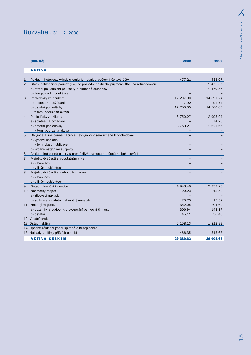|    | (mil. Kč)                                                                           | 2000      | 1999      |
|----|-------------------------------------------------------------------------------------|-----------|-----------|
|    |                                                                                     |           |           |
|    | <b>AKTIVA</b>                                                                       |           |           |
|    |                                                                                     |           |           |
| 1. | Pokladní hotovost, vklady u emisních bank a poštovní šekové účty                    | 477.21    | 433.07    |
| 2. | Státní pokladniční poukázky a jiné pokladní poukázky přijímané ČNB na refinancování |           | 1 479,57  |
|    | a) státní pokladniční poukázky a obdobné dluhopisy                                  |           | 1 479,57  |
|    | b) jiné pokladní poukázky                                                           |           |           |
| З. | Pohledávky za bankami                                                               | 17 207,90 | 14 591,74 |
|    | a) splatné na požádání                                                              | 7,90      | 91,74     |
|    | b) ostatní pohledávky                                                               | 17 200,00 | 14 500,00 |
|    | v tom: podřízená aktiva                                                             |           |           |
| 4. | Pohledávky za klienty                                                               | 3 750,27  | 2 995,94  |
|    | a) splatné na požádání                                                              |           | 374,28    |
|    | b) ostatní pohledávky                                                               | 3 750,27  | 2 621,66  |
|    | v tom: podřízená aktiva                                                             |           |           |
| 5. | Obligace a jiné cenné papíry s pevným výnosem určené k obchodování                  |           |           |
|    | a) vydané bankami                                                                   |           |           |
|    | v tom: vlastní obligace                                                             |           |           |
|    | b) vydané ostatními subjekty                                                        |           |           |
| 6. | Akcie a jiné cenné papíry s proměnlivým výnosem určené k obchodování                |           |           |
| 7. | Majetkové účasti s podstatným vlivem                                                |           |           |
|    | a) v bankách                                                                        |           |           |
|    | b) v jiných subjektech                                                              |           |           |
| 8. | Majetkové účasti s rozhodujícím vlivem                                              |           |           |
|    | a) v bankách                                                                        |           |           |
|    | b) v jiných subjektech                                                              |           |           |
| 9. | Ostatní finanční investice                                                          | 4 948,48  | 3 959,26  |
|    | 10. Nehmotný majetek                                                                | 20,23     | 13,52     |
|    | a) zřizovací náklady                                                                |           |           |
|    | b) software a ostatní nehmotný majetek                                              | 20,23     | 13,52     |
|    | 11. Hmotný majetek                                                                  | 352,05    | 204,60    |
|    | a) pozemky a budovy k provozování bankovní činnosti                                 | 306,94    | 148,17    |
|    | b) ostatní                                                                          | 45,11     | 56,43     |
|    | 12. Vlastní akcie                                                                   |           |           |
|    | 13. Ostatní aktiva                                                                  | 2 158,13  | 1 812,33  |
|    | 14. Upsané základní jmění splatné a nezaplacené                                     |           |           |
|    | 15. Náklady a příjmy příštích období                                                | 466.35    | 515,65    |
|    | <b>AKTIVA CELKEM</b>                                                                | 29 380,62 | 26 005,68 |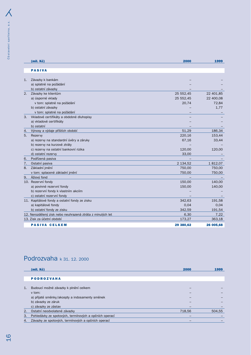|    | (mil. Kč)                                                  | 2000      | 1999      |
|----|------------------------------------------------------------|-----------|-----------|
|    |                                                            |           |           |
|    | <b>PASIVA</b>                                              |           |           |
|    |                                                            |           |           |
| 1. | Závazky k bankám                                           |           |           |
|    | a) splatné na požádání                                     |           |           |
|    | b) ostatní závazky                                         |           |           |
| 2. | Závazky ke klientům                                        | 25 552,45 | 22 401,85 |
|    | a) úsporné vklady                                          | 25 552,45 | 22 400,08 |
|    | v tom: splatné na požádání                                 | 20,74     | 72,84     |
|    | b) ostatní závazky                                         |           | 1,77      |
|    | v tom: splatné na požádání                                 |           |           |
| 3. | Vkladové certifikáty a obdobné dluhopisy                   |           |           |
|    | a) vkladové certifikáty                                    |           |           |
|    | b) ostatní                                                 |           |           |
| 4. | Výnosy a výdaje příštích období                            | 51,29     | 186,34    |
| 5. | Rezervy                                                    | 220,16    | 153,44    |
|    | a) rezervy na standardní úvěry a záruky                    | 67,16     | 33,44     |
|    | b) rezervy na kurzové ztráty                               |           |           |
|    | c) rezervy na ostatní bankovní rizika                      | 120,00    | 120,00    |
|    | d) ostatní rezervy                                         | 33,00     |           |
| 6. | Podřízená pasiva                                           |           |           |
| 7. | Ostatní pasiva                                             | 2 134,52  | 1812,07   |
| 8. | Základní jmění                                             | 750,00    | 750,00    |
|    | v tom: splacené základní jmění                             | 750,00    | 750,00    |
| 9. | Ážiový fond                                                |           |           |
|    | 10. Rezervní fondy                                         | 150,00    | 140,00    |
|    | a) povinné rezervní fondy                                  | 150,00    | 140,00    |
|    | b) rezervní fondy k vlastním akciím                        |           |           |
|    | c) ostatní rezervní fondy                                  |           |           |
|    | 11. Kapitálové fondy a ostatní fondy ze zisku              | 342,63    | 191,58    |
|    | a) kapitálové fondy                                        | 0,04      | 0,04      |
|    | b) ostatní fondy ze zisku                                  | 342,59    | 191,54    |
|    | 12. Nerozdělený zisk nebo neuhrazená ztráta z minulých let | 6,30      | 7,22      |
|    | 13. Zisk za účetní období                                  | 173,27    | 363,18    |
|    | <b>PASIVA CELKEM</b>                                       | 29 380,62 | 26 005,68 |

# Podrozvaha k 31. 12. 2000

|    | $(mil. K\check{c})$                                    | 2000   | 1999   |
|----|--------------------------------------------------------|--------|--------|
|    |                                                        |        |        |
|    | <b>PODROZVAHA</b>                                      |        |        |
|    |                                                        |        |        |
| 1. | Budoucí možné závazky k plnění celkem                  |        |        |
|    | v tom:                                                 |        |        |
|    | a) přijaté směnky/akcepty a indosamenty směnek         |        |        |
|    | b) závazky ze záruk                                    |        |        |
|    | c) závazky ze zástav                                   |        |        |
| 2. | Ostatní neodvolatené závazky                           | 718.56 | 504.55 |
| 3. | Pohledávky ze spotových, termínových a opčních operací |        |        |
| 4. | Závazky ze spotových, termínových a opčních operací    |        |        |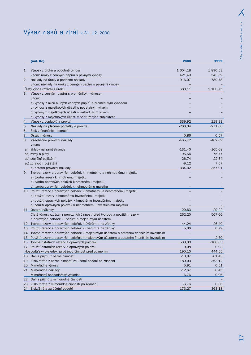# Výkaz zisků a ztrát k 31. 12. 2000

| (mil. Kč)                                                                                   | 2000      | 1999      |
|---------------------------------------------------------------------------------------------|-----------|-----------|
|                                                                                             |           |           |
| Výnosy z úroků a podobné výnosy<br>1.                                                       | 1 604,18  | 1 890,53  |
| v tom: úroky z cenných papírů s pevnými výnosy                                              | 421,49    | 543,69    |
| Náklady na úroky a podobné náklady<br>2.                                                    | $-916,07$ | $-789,78$ |
| v tom: náklady na úroky z cenných papírů s pevnými výnosy                                   |           |           |
| Čistý výnos (ztráta) z úroků                                                                | 688,11    | 1 100,75  |
| Výnosy z cenných papírů s proměnlivým výnosem<br>З.                                         |           |           |
| v tom:                                                                                      |           |           |
| a) výnosy z akcií a jiných cenných papírů s proměnlivým výnosem                             |           |           |
| b) výnosy z majetkových účastí s podstatným vlivem                                          |           |           |
| c) výnosy z majetkových účastí s rozhodujícím vlivem                                        |           |           |
| d) výnosy z majetkových účastí v přidružených subjektech                                    |           |           |
| Výnosy z poplatků a provizí<br>4.                                                           | 339,92    | 229,93    |
| 5.<br>Náklady na placené poplatky a provize                                                 | $-280,34$ | $-271,68$ |
| Zisk z finančních operací<br>6.                                                             |           |           |
| Ostatní výnosy<br>7.                                                                        | 0,86      | 0,57      |
| Všeobecné provozní náklady<br>8.                                                            | $-465,72$ | $-462,69$ |
| v tom:                                                                                      |           |           |
| a) náklady na zaměstnance                                                                   | $-131,40$ | $-105,68$ |
| aa) mzdy a platy                                                                            | $-95,54$  | $-75,77$  |
| ab) sociální pojištění                                                                      | $-26,74$  | $-22,34$  |
| ac) zdravotní pojištění                                                                     | $-9,12$   | $-7,57$   |
| b) ostatní provozní náklady                                                                 | $-334,32$ | $-357,01$ |
| Tvorba rezerv a opravných položek k hmotnému a nehmotnému majetku<br>9.                     |           |           |
| a) tvorba rezerv k hmotnému majetku                                                         |           |           |
| b) tvorba opravných položek k hmotnému majetku                                              |           |           |
| c) tvorba opravných položek k nehmotnému majetku                                            |           |           |
| 10. Použití rezerv a opravných položek k hmotnému a nehmotnému majetku                      |           |           |
| a) použití rezerv k hmotnému investičnímu majetku                                           |           |           |
| b) použití opravných položek k hmotnému investičnímu majetku                                |           |           |
| c) použití opravných položek k nehmotnému investičnímu majetku                              |           |           |
| 11. Ostatní náklady                                                                         | $-20,63$  | $-29,22$  |
| Čisté výnosy (ztráta) z provozních činností před tvorbou a použitím rezerv                  | 262,20    | 567,66    |
| a opravných položek k úvěrům a majetkovým účastem                                           |           |           |
| 12. Tvorba rezerv a opravných položek k úvěrům a na záruky                                  | $-44,24$  | $-26,40$  |
| 13. Použití rezerv a opravných položek k úvěrům a na záruky                                 | 5,06      | 0,79      |
| 14. Tvorba rezerv a opravných položek k majetkovým účastem a ostatním finančním investicím  |           |           |
| 15. Použití rezerv a opravných položek k majetkovým účastem a ostatním finančním investicím |           | 2,50      |
| 16. Tvorba ostatních rezerv a opravných položek                                             | $-33,00$  | $-100,03$ |
| 17. Použití ostatních rezerv a opravných položek                                            | 0,08      | 0,03      |
| Hospodářský výsledek za běžnou činnost před zdaněním                                        | 190,10    | 444,55    |
| 18. Daň z příjmů z běžné činnosti                                                           | $-10,07$  | $-81,43$  |
| 19. Zisk/Ztráta z běžné činnosti za účetní období po zdanění                                | 180,03    | 363,12    |
| 20.<br>Mimořádné výnosy                                                                     | 5,91      | 0,51      |
| 21. Mimořádné náklady                                                                       | $-12,67$  | $-0,45$   |
| Mimořádný hospodářský výsledek                                                              | -6,76     | 0,06      |
| 22. Daň z příjmů z mimořádné činnosti                                                       |           |           |
| 23. Zisk/Ztráta z mimořádné činnosti po zdanění                                             | $-6,76$   | 0,06      |
| 24. Zisk/Ztráta za účetní období                                                            | 173,27    | 363,18    |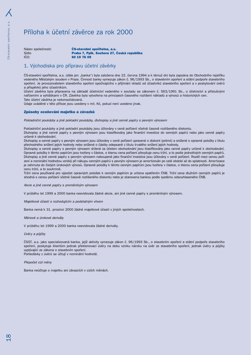# Příloha k účetní závěrce za rok 2000

| Název společnosti: | ČS-stavební spořitelna, a.s.               |
|--------------------|--------------------------------------------|
| Sídlo              | Praha 7, Pplk. Sochora 27, Česká republika |
| IČO:               | 60 19 76 09                                |
|                    |                                            |

## 1. Východiska pro přípravu účetní závěrky

ČS-stavební spořitelna, a.s. (dále jen "banka") byla založena dne 22. června 1994 a k témuž dni byla zapsána do Obchodního rejstříku vedeného Městským soudem v Praze. Činnost banky vymezuje zákon č. 96/1993 Sb., o stavebním spoření a státní podpoře stavebního spoření. Je provozovatelem stavebního spoření spočívajícího v přijímání vkladů od účastníků stavebního spoření a v poskytování úvěrů a příspěvků jeho účastníkům.

Účetní závěrka byla připravena na základě účetnictví vedeného v souladu se zákonem č. 563/1991 Sb., o účetnictví a příslušnými nařízeními a vyhláškami v ČR. Závěrka byla vytvořena na principech časového rozlišení nákladů a výnosů a historických cen. Tato účetní závěrka je nekonsolidovaná.

Údaje uváděné v této příloze jsou uvedeny v mil. Kč, pokud není uvedeno jinak.

### Způsoby oceňování majetku a závazků

Pokladniční poukázky a jiné pokladní poukázky, dluhopisy a jiné cenné papíry s pevným výnosem

Pokladniční poukázky a jiné pokladní poukázky jsou účtovány v ceně pořízení včetně časově rozlišeného diskontu.

Dluhopisy a jiné cenné papíry s pevným výnosem jsou klasifikovány jako finanční investice do cenných papírů nebo jako cenné papíry urãené k obchodování.

Dluhopisy a cenné papíry s pevným výnosem jsou účtovány v ceně pořízení upravené o diskont (prémii) a snížené o opravné položky z titulu přechodného snížení jejich hodnoty nebo snížené o částky odepsané z titulu trvalého snížení jejich hodnoty.

Dluhopisy a cenné papíry s pevným výnosem držené za účelem obchodování jsou klasifikovány jako cenné papíry určené k obchodování. Opravné položky k těmto papírům jsou tvořeny v částce, o kterou cena pořízení převyšuje cenu tržní, a to podle jednotlivých cenných papírů. Dluhopisy a jiné cenné papíry s pevným výnosem nakoupené jako finanční investice jsou účtovány v ceně pořízení. Rozdíl mezi cenou pořízení a nominální hodnotou vzniklý při nákupu cenných papírů s pevným výnosem je amortizován po celé období až do splatnosti. Amortizace je zahrnuta do čistých úrokových výnosů. Opravné položky k těmto cenným papírům jsou tvořeny v částce, o kterou cena pořízení převyšuje cenu tržní, a to souhrnně.

Tržní cena používaná pro výpočet opravných položek k cenným papírům je určena opatřením ČNB. Tržní cena dlužních cenných papírů je shodná s cenou pořízení včetně časově rozlišeného diskontu nebo je stanovena bankou podle systému odsouhlaseného ČNB.

Akcie a jiné cenné papíry s proměnlivým výnosem

V průběhu let 1999 a 2000 banka neevidovala žádné akcie, ani jiné cenné papíry s proměnlivým výnosem.

Majetkové účasti s rozhodujícím a podstatným vlivem

Banka nemá k 31. prosinci 2000 žádné majetkové účasti v jiných společnostech.

Měnové a úrokové deriváty

V průběhu let 1999 a 2000 banka neevidovala žádné deriváty.

#### Úvěry a půjčky

ČSST, a.s. jako specializovaná banka, jejíž aktivity vymezuje zákon č. 96/1993 Sb., o stavebním spoření a státní podpoře stavebního spoření, poskytuje klientům jednak překlenovací úvěry na dobu vzniku nároku na úvěr ze stavebního spoření, jednak úvěry a půjčky vyplývající ze zákona o stavebním spoření.

Pohledávky z úvěrů se účtují v nominální hodnotě.

Přepočet cizí měny

Banka neúčtuje o majetku ani závazcích v cizích měnách.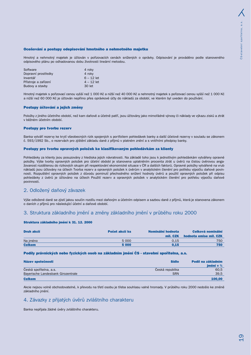### Oceňování a postupy odepisování hmotného a nehmotného majetku

Hmotný a nehmotný majetek je účtován v pořizovacích cenách snížených o oprávky. Odpisování je prováděno podle stanoveného odpisového plánu po odhadovanou dobu životnosti lineární metodou.

| Software             | 4 roky       |
|----------------------|--------------|
| Dopravní prostředky  | 4 roky       |
| Inventář             | $6 - 12$ let |
| Přístroje a zařízení | $4 - 12$ let |
| Budovy a stavby      | 30 let       |

Hmotný majetek s pořizovací cenou vyšší než 1 000 Kč a nižší než 40 000 Kč a nehmotný majetek s pořizovací cenou vyšší než 1 000 Kč a nižší než 60 000 Kč je účtován nepřímo přes oprávkové účty do nákladů za období, ve kterém byl uveden do používání.

#### Postupy účtování a jejich změny

Položky z jiného účetního období, než kam daňově a účetně patří, jsou účtovány jako mimořádné výnosy či náklady ve výkazu zisků a ztrát v běžném účetním období.

#### Postupy pro tvorbu rezerv

Banka vytváří rezervy ke krytí všeobecných rizik spojených s portfoliem pohledávek banky a další účelové rezervy v souladu se zákonem č. 593/1992 Sb., o rezervách pro zjištění základu daně z příjmů v platném znění a s vnitřními předpisy banky.

### Postupy pro tvorbu opravných položek ke klasifikovaným pohledávkám za klienty

Pohledávky za klienty jsou posuzovány z hlediska jejich návratnosti. Na základě toho jsou k jednotlivým pohledávkám vytvářeny opravné položky. Výše tvorby opravných položek pro účetní období je stanovena uplatněním procenta ztrát u úvěrů na čistou úvěrovou angažovanost rozdělenou do rizikových skupin při respektování ekonomické situace v ČR a dalších faktorů. Opravné položky vytvářené na vrub nákladů jsou účtovány na účtech Tvorba rezerv a opravných položek k úvěrům v analytickém členění pro potřebu výpočtu daňové povinnosti. Rozpuštění opravných položek z důvodu pominutí přechodného snížení hodnoty úvěrů a použití opravných položek při odpisu pohledávky z úvěrů je účtováno na účtech Použití rezerv a opravných položek v analytickém členění pro potřebu výpočtu daňové povinnosti.

## 2. Odložený daňový závazek

Výše odložené daně se zjistí jakou součin rozdílu mezi daňovým a účetním odpisem a sazbou daně z příjmů, která je stanovena zákonem o daních z příjmů pro následující účetní a daňové období.

## 3. Struktura základního jmění a změny základního jmění v průběhu roku 2000

### Struktura základního jmění k 31. 12. 2000

| <b>Druh akcií</b> | Počet akcií ks | Nominální hodnota | Celková nominální      |
|-------------------|----------------|-------------------|------------------------|
|                   |                | mil. CZK          | hodnota emise mil. CZK |
| Na jméno          | 5 0 0 0        | 0.15              | 750                    |
| <b>Celkem</b>     | 5 000          | 0.15              | 750                    |

Podíly právnických nebo fyzických osob na základním jmění ČS - stavební spořitelna, a.s.

| Název společnosti                  | <b>Sídlo</b>    | Podíl na základním |
|------------------------------------|-----------------|--------------------|
|                                    |                 | jmění v %          |
| Česká spořitelna, a.s.             | Česká republika | 60.5               |
| Bayerische Landesbank Girozentrale | <b>SRN</b>      | 39,5               |
| <b>Celkem</b>                      |                 | 100.00             |

Akcie nejsou volně obchodovatelné, k převodu na třetí osobu je třeba souhlasu valné hromady. V průběhu roku 2000 nedošlo ke změně základního jmění.

## 4. Závazky z přijatých úvěrů zvláštního charakteru

Banka nepřijala žádné úvěry zvláštního charakteru.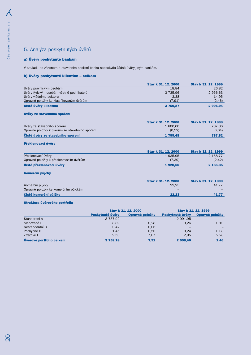# 5. Analýza poskytnutých úvěrů

## a) Úvěry poskytnuté bankám

V souladu se zákonem o stavebním spoření banka neposkytla žádné úvěry jiným bankám.

## b) Úvěry poskytnuté klientům – celkem

|                                          | Stav k 31, 12, 2000 | Stav k 31, 12, 1999 |
|------------------------------------------|---------------------|---------------------|
| Úvěry právnickým osobám                  | 18.84               | 26.82               |
| Úvěry fyzickým osobám včetně podnikatelů | 3 7 3 5 . 9 6       | 2 956.63            |
| Úvěry vládnímu sektoru                   | 3.38                | 14.95               |
| Opravné položky ke klasifikovaným úvěrům | (7.91)              | (2, 46)             |
| Čisté úvěry klientům                     | 3 750.27            | 2 995.94            |

## Úvěry ze stavebního spoření

|                                                | Stav k 31, 12, 2000 | <b>Stav k 31, 12, 1999</b> |
|------------------------------------------------|---------------------|----------------------------|
| Úvěry ze stavebního spoření                    | 1 800.00            | 787.86                     |
| Opravné položky k úvěrům ze stavebního spoření | (0.52)              | (0,04)                     |
| Čisté úvěry ze stavebního spoření              | 1 799.48            | 787.82                     |

## Překlenovací úvěry

|                                        | Stav k 31, 12, 2000 | <b>Stav k 31, 12, 1999</b> |
|----------------------------------------|---------------------|----------------------------|
| Překlenovací úvěry                     | 1935.95             | 2 168.77                   |
| Opravné položky k překlenovacím úvěrům | (7.39)              | (2, 42)                    |
| Čisté překlenovací úvěry               | 1928.56             | 2 166.35                   |

## Komerční půjčky

|                                      | Stav k 31, 12, 2000      | Stav k 31, 12, 1999 |
|--------------------------------------|--------------------------|---------------------|
| Komerční půjčky                      | 22.23                    | 41.77               |
| Opravné položky ke komerčním půjčkám | $\overline{\phantom{0}}$ |                     |
| Čisté komerční půjčky                | 22.23                    | 41.77               |

## Struktura úvěrového portfolia

|                          |                  | Stav k 31, 12, 2000 | Stav k 31, 12, 1999 |                 |  |
|--------------------------|------------------|---------------------|---------------------|-----------------|--|
|                          | Poskytnuté úvěry | Opravné položky     | Poskytnuté úvěry    | Opravné položky |  |
| Standardní A             | 3 7 3 7 .9 2     |                     | 2 991.95            |                 |  |
| Sledované B              | 8,89             | 0,28                | 3.26                | 0,10            |  |
| Nestandardní C           | 0.42             | 0,06                |                     |                 |  |
| Pochybné D               | 1,45             | 0,50                | 0.24                | 0,08            |  |
| Ztrátové E               | 9,50             | 7,07                | 2,95                | 2,28            |  |
| Úvěrové portfolio celkem | 3758,18          | 7,91                | 2 998,40            | 2,46            |  |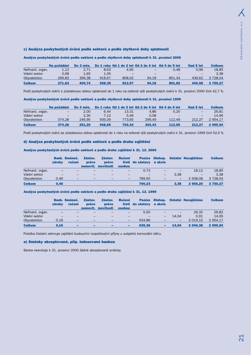## c) Analýza poskytnutých úvěrů podle sektorů a podle zbytkové doby splatnosti

#### Analýza poskytnutých úvěrů podle sektorů a podle zbytkové doby splatnosti k 31. prosinci 2000

|                  | Na požádání | Do 3 měs. |        |        |       | Do 1 roku Od 1 do 2 let Od 2 do 4 let Od 4 do 5 let | Nad 5 let | <b>Celkem</b> |
|------------------|-------------|-----------|--------|--------|-------|-----------------------------------------------------|-----------|---------------|
| Nefinanč. organ. | 1.12        | 2.71      | 8.63   | 4.95   | $-$   | 0.48                                                | 0.96      | 18.85         |
| Vládní sektor    | 0.68        | 1.65      | 1.05   | $-$    |       | $-$                                                 |           | 3.38          |
| Obyvatelstvo     | 269.83      | 396.38    | 918.67 | 808.02 | 94.18 | 801.34                                              | 439.62    | 3 7 2 8 .04   |
| <b>Celkem</b>    | 271.63      | 400.74    | 928.35 | 812.97 | 94.18 | 801.82                                              | 440.58    | 3 750.27      |

Podíl poskytnutých úvěrů s zůstatkovou dobou splatnosti do 1 roku na celkové výši poskytnutých úvěrů k 31. prosinci 2000 činil 42,7 %.

### Analýza poskytnutých úvěrů podle sektorů a podle zbytkové doby splatnosti k 31. prosinci 1999

|                  | Na požádání       | Do 3 měs. |        |        |        | Do 1 roku Od 1 do 2 let Od 2 do 4 let Od 4 do 5 let | Nad 5 let                | <b>Celkem</b> |
|------------------|-------------------|-----------|--------|--------|--------|-----------------------------------------------------|--------------------------|---------------|
| Nefinanč. organ. | $\qquad \qquad -$ | 2.00      | 6.44   | 13.31  | 4.86   | 0.20                                                | $\overline{\phantom{m}}$ | 26.81         |
| Vládní sektor    | $\qquad \qquad -$ | 2.30      | 7.12   | 5.46   | 0.08   |                                                     | $\qquad \qquad -$        | 14.96         |
| Obvyatelstvo     | 374.28            | 246.90    | 935.09 | 773.65 | 299.49 | 112.49                                              | 212.27                   | 2 9 54.17     |
| <b>Celkem</b>    | 374.28            | 251.20    | 948.65 | 792.42 | 304.43 | 112.69                                              | 212.27                   | 2995.94       |

Podíl poskytnutých úvěrů se zůstatkovou dobou splatnosti do 1 roku na celkové výši poskytnutých úvěrů k 31. prosinci 1999 činil 52,5 %.

#### d) Analýza poskytnutých úvěrů podle sektorů a podle druhu zajištění

#### Analýza poskytnutých úvěrů podle sektorů a podle druhu zajištění k 31. 12. 2000

|                  | záruky            | <b>Bank. Směneč.</b><br>ručení | Zástav.<br><b>právo</b> | Zástav.<br><b>právo</b><br>nemovit. movitosti | <b>Ručení</b><br>osobou | třetí do zástavy a akcie |                          |                          | Peníze Dluhop. Ostatní Nezajištěno | <b>Celkem</b> |
|------------------|-------------------|--------------------------------|-------------------------|-----------------------------------------------|-------------------------|--------------------------|--------------------------|--------------------------|------------------------------------|---------------|
| Nefinanč. organ. | $\qquad \qquad -$ |                                | $\qquad \qquad -$       |                                               | $\qquad \qquad -$       | 0.73                     | $\overline{\phantom{m}}$ | $\qquad \qquad -$        | 18.12                              | 18,85         |
| Vládní sektor    | -                 |                                | -                       |                                               |                         |                          | $\qquad \qquad -$        | 3.38                     | -                                  | 3.38          |
| Obyvatelstvo     | 0.46              | $-$                            | $-$                     |                                               | $-$                     | 789.50                   | $\equiv$                 | $\overline{\phantom{0}}$ | 2 938.08                           | 3 7 28,04     |
| <b>Celkem</b>    | 0.46              |                                |                         |                                               |                         | 790.23                   |                          | 3,38                     | 2 956.20                           | 3 750.27      |

#### Analýza poskytnutých úvěrů podle sektorů a podle druhu zajištění k 31. 12. 1999

|                  | záruky | <b>Bank. Směneč.</b><br>ručení | Zástav.<br><b>právo</b><br>nemovit. | Zástav.<br><b>právo</b><br>movitosti | <b>Ručení</b><br>osobou  | třetí do zástavy a akcie |                   |                   | Peníze Dluhop. Ostatní Nezajištěno | <b>Celkem</b> |
|------------------|--------|--------------------------------|-------------------------------------|--------------------------------------|--------------------------|--------------------------|-------------------|-------------------|------------------------------------|---------------|
| Nefinanč. organ. | $-$    |                                | $\overline{\phantom{m}}$            |                                      | $\overline{\phantom{0}}$ | 0.50                     | $\qquad \qquad$   | $\qquad \qquad -$ | 26.32                              | 26.82         |
| Vládní sektor    | $-$    |                                | $-$                                 |                                      |                          |                          | $\qquad \qquad -$ | 14.04             | 0.91                               | 14.95         |
| Obyvatelstvo     | 0.16   | $\qquad \qquad -$              | $\qquad \qquad -$                   |                                      | $\qquad \qquad -$        | 934.86                   |                   | $\qquad \qquad -$ | 2 0 19.15                          | 2 9 54.17     |
| <b>Celkem</b>    | 0.16   | $\overline{\phantom{a}}$       | $\sim$                              |                                      | $\overline{\phantom{a}}$ | 935,36                   | -                 | 14.04             | 2 046.38                           | 2 995.94      |

Položka Ostatní zahrnuje zajištění budoucími rozpočtovými příjmy u subjektů komunální sféry.

#### e) Směnky akceptované, příp. indosované bankou

Banka neeviduje k 31. prosinci 2000 žádné akceptované směnky.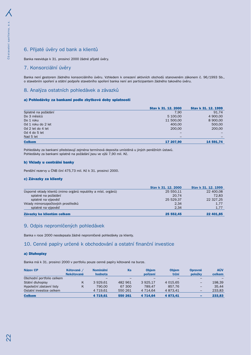# 6. Přijaté úvěry od bank a klientů

Banka neeviduje k 31. prosinci 2000 žádné přijaté úvěry.

## 7. Konsorciální úvěry

Banka není gestorem žádného konsorciálního úvěru. Vzhledem k omezení aktivních obchodů stanoveném zákonem č. 96/1993 Sb., o stavebním spoření a státní podpoře stavebního spoření banka není ani participantem žádného takového úvěru.

## 8. Analýza ostatních pohledávek a závazků

## a) Pohledávky za bankami podle zbytkové doby splatnosti

|                     | Stav k 31, 12, 2000 | Stav k 31, 12, 1999 |
|---------------------|---------------------|---------------------|
| Splatné na požádání | 7.90                | 91.74               |
| Do 3 měsíců         | 5 100.00            | 4 900.00            |
| Do 1 roku           | 11 500,00           | 8 900,00            |
| Od 1 roku do 2 let  | 400.00              | 500,00              |
| Od 2 let do 4 let   | 200,00              | 200,00              |
| Od 4 do 5 let       |                     |                     |
| Nad 5 let           | $\qquad \qquad$     |                     |
| <b>Celkem</b>       | 17 207,90           | 14 591,74           |

Pohledávky za bankami představují zejména termínová deposita umístěná u jiných peněžních ústavů. Pohledávky za bankami splatné na požádání jsou ve výši 7,90 mil. Kč.

## b) Vklady u centrální banky

Peněžní rezervy u ČNB činí 475,73 mil. Kč k 31. prosinci 2000.

## c) Závazky za klienty

|                                                               | Stav k 31, 12, 2000 | Stav k 31, 12, 1999 |
|---------------------------------------------------------------|---------------------|---------------------|
| Úsporné vklady klientů (mimo orgánů republiky a míst. orgánů) | 25 550,11           | 22 400,08           |
| splatné na požádání                                           | 20.74               | 72.83               |
| splatné na výpověď                                            | 25 529.37           | 22 327,25           |
| Vklady mimorozpočtových prostředků                            | 2,34                | 1,77                |
| splatné na výpověď                                            | 2.34                | 1,77                |
| Závazky ke klientům celkem                                    | 25 552.45           | 22 401,85           |

## 9. Odpis nepromlčených pohledávek

Banka v roce 2000 neodepsala žádné nepromlčené pohledávky za klienty.

## 10. Cenné papíry určené k obchodování a ostatní finanční investice

## a) Dluhopisy

Banka má k 31. prosinci 2000 v portfoliu pouze cenné papíry kótované na burze.

| Název CP                  | Kótované /<br><b>Nekótované</b> | <b>Nominální</b><br>hodnota | Ks      | <b>Objem</b><br>pořízení | <b>Objem</b><br>tržní | <b>Opravné</b><br>položky | <b>AUV</b><br>celkem |
|---------------------------|---------------------------------|-----------------------------|---------|--------------------------|-----------------------|---------------------------|----------------------|
| Obchodní portfolio celkem |                                 |                             |         |                          |                       |                           |                      |
| Státní dluhopisy          | K                               | 3 9 29.61                   | 482 961 | 3 9 2 5 . 1 7            | 4 0 1 5 .65           | -                         | 198.39               |
| Hypoteční zástavní listy  |                                 | 790.00                      | 67 300  | 789.47                   | 857.76                | -                         | 35.44                |
| Ostatní investice celkem  |                                 | 4 719.61                    | 550 261 | 4 714,64                 | 4 873.41              |                           | 233,83               |
| <b>Celkem</b>             |                                 | 4 719,61                    | 550 261 | 4 714.64                 | 4 873.41              | $\blacksquare$            | 233,83               |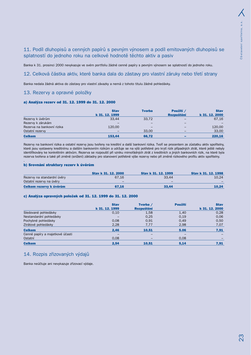## 11. Podíl dluhopisů a cenných papírů s pevným výnosem a podíl emitovaných dluhopisů se splatností do jednoho roku na celkové hodnotě těchto aktiv a pasiv

Banka k 31. prosinci 2000 nevykazuje ve svém portfoliu žádné cenné papíry s pevným výnosem se splatností do jednoho roku.

## 12. Celková ãástka aktiv, které banka dala do zástavy pro vlastní záruky nebo tfietí strany

Banka nedala žádná aktiva do zástavy pro vlastní závazky a nemá z tohoto titulu žádné pohledávky.

## 13. Rezervy a opravné položky

## a) Anal˘za rezerv od 31. 12. 1999 do 31. 12. 2000

|                            | <b>Stav</b>    | <b>Tvorba</b> | Použití /         | <b>Stav</b>    |
|----------------------------|----------------|---------------|-------------------|----------------|
|                            | k 31, 12, 1999 |               | Rozpuštění        | k 31, 12, 2000 |
| Rezervy k úvěrům           | 33,44          | 33,72         |                   | 67,16          |
| Rezervy k zárukám          |                |               |                   |                |
| Rezerva na bankovní rizika | 120,00         |               | $\qquad \qquad -$ | 120,00         |
| Ostatní rezervy            |                | 33,00         |                   | 33,00          |
| <b>Celkem</b>              | 153,44         | 66,72         | $\sim$            | 220,16         |

Rezervy na bankovní rizika a ostatní rezervy jsou tvořeny na kreditní a další bankovní rizika. Tvoří se procentem ze zůstatku aktiv spořitelny, které jsou vystaveny kreditnímu a dalším bankovním rizikům a udržuje se na výši potřebné pro krytí rizik případných ztrát, které ještě nebyly identifikovány ke konkrétním aktivům. Rezerva se rozpouští při vzniku mimořádných ztrát z kreditních a jiných bankovních rizik, na které byla rezerva tvořena a také při změně (snížení) základny pro stanovení potřebné výše rezervy nebo při změně rizikového profilu aktiv spořitelny. .

## b) Srovnání struktury rezerv k úvěrům

|                             | Stav k 31, 12, 2000 | Stav k 31, 12, 1999      | Stav k 31, 12, 1998 |
|-----------------------------|---------------------|--------------------------|---------------------|
| Rezervy na standardní úvěry | 67.16               | 33.44                    | 10.24               |
| Ostatní rezervy na úvěry    |                     | $\overline{\phantom{0}}$ |                     |
| Celkem rezervy k úvěrům     | 67.16               | 33.44                    | 10.24               |

## c) Analýza opravných položek od 31. 12. 1999 do 31. 12. 2000

|                                 | <b>Stav</b><br>k 31, 12, 1999 | Tvorba /<br>Rozpuštění | Použití | <b>Stav</b><br>k 31, 12, 2000 |
|---------------------------------|-------------------------------|------------------------|---------|-------------------------------|
| Sledované pohledávky            | 0,10                          | 1,58                   | 1,40    | 0,28                          |
| Nestandardní pohledávky         |                               | 0,25                   | 0,19    | 0,06                          |
| Pochybné pohledávky             | 0.08                          | 0,91                   | 0,49    | 0,50                          |
| Ztrátové pohledávky             | 2,28                          | 7,77                   | 2,98    | 7,07                          |
| <b>Celkem</b>                   | 2,46                          | 10.51                  | 5.06    | 7,91                          |
| Cenné papíry a majetkové účasti | -                             |                        |         |                               |
| Ostatní                         | 0.08                          |                        | 0.08    |                               |
| <b>Celkem</b>                   | 2,54                          | 10,51                  | 5,14    | 7,91                          |

## 14. Rozpis zřizovaných výdajů

Banka neúčtuje ani nevykazuje zřizovací výdaje.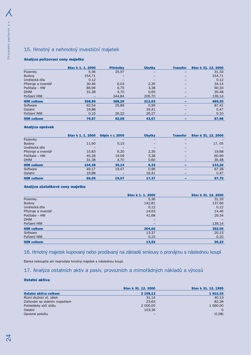# 15. Hmotný a nehmotný investiční majetek

## Analýza pořizovací ceny majetku

|                      | <b>Stav k 1, 1, 2000</b> | <b>Přírůstky</b> | Úbytky | <b>Transfer</b>          | Stav k 31, 12, 2000 |
|----------------------|--------------------------|------------------|--------|--------------------------|---------------------|
| Pozemky              | 5,36                     | 25,97            |        |                          | 31,33               |
| <b>Budovy</b>        | 154.71                   |                  |        |                          | 154,71              |
| Umělecká díla        | 0,12                     |                  |        |                          | 0,12                |
| Přístroje a inventář | 30,46                    | 6,03             | 2,35   |                          | 34,14               |
| Počítače – HW        | 86,96                    | 6,75             | 3,38   |                          | 90,33               |
| <b>DHIM</b>          | 31,38                    | 4,70             | 0.60   |                          | 35,48               |
| Pořízení HIM         |                          | 344.84           | 205.70 |                          | 139,14              |
| <b>HIM celkem</b>    | 308.99                   | 388.29           | 212,03 |                          | 485,25              |
| Software             | 62.54                    | 25,86            | 0.99   |                          | 87,41               |
| Ostatní              | 16,88                    |                  | 16,41  |                          | 0,47                |
| Pořízení NIM         | 0,15                     | 26,22            | 26,27  | $\overline{\phantom{m}}$ | 0,10                |
| <b>NIM celkem</b>    | 79,57                    | 52,08            | 43,67  |                          | 87,98               |

## Analýza oprávek

|                      | Stav k 1, 1, 2000 | <b>Odpis v r. 2000</b> | Úbytky                   | <b>Transfer</b> | Stav k 31, 12, 2000 |
|----------------------|-------------------|------------------------|--------------------------|-----------------|---------------------|
| Pozemky              |                   |                        | $\overline{\phantom{0}}$ |                 |                     |
| <b>Budovy</b>        | 11,90             | 5,15                   |                          |                 | 17,05               |
| Umělecká díla        |                   |                        |                          |                 |                     |
| Přístroje a inventář | 15,83             | 6.20                   | 2,35                     |                 | 19,68               |
| Počítače – HW        | 45.28             | 19,09                  | 3,38                     |                 | 60,99               |
| <b>DHIM</b>          | 31,38             | 4,70                   | 0,60                     |                 | 35,48               |
| <b>HIM celkem</b>    | 104.39            | 35.14                  | 6,33                     |                 | 133,20              |
| Software             | 49.17             | 19,07                  | 0.96                     |                 | 67,28               |
| Ostatní              | 16,88             |                        | 16,41                    |                 | 0,47                |
| <b>NIM celkem</b>    | 66,05             | 19,07                  | 17,37                    | $\blacksquare$  | 67,75               |

## Analýza zůstatkové ceny majetku

|                      | Stav k 1, 1, 2000        | Stav k 31, 12, 2000 |
|----------------------|--------------------------|---------------------|
| Pozemky              | 5,36                     | 31,33               |
| <b>Budovy</b>        | 142,81                   | 137,66              |
| Umělecká díla        | 0,12                     | 0,12                |
| Přístroje a inventář | 14,63                    | 14,46               |
| Počítače – HW        | 41,68                    | 29,34               |
| <b>DHIM</b>          | $\overline{\phantom{0}}$ |                     |
| Pořízení HIM         |                          | 139,14              |
| <b>HIM celkem</b>    | 204,60                   | 352,05              |
| Software             | 13,37                    | 20,13               |
| Pořízení NIM         | 0,15                     | 0,10                |
| <b>NIM celkem</b>    | 13,52                    | 20,23               |

16. Hmotný majetek kupovaný nebo prodávaný na základě smlouvy o pronájmu s následnou koupí

Banka nekoupila ani neprodala hmotný majetek s následnou koupí.

# 17. Analýza ostatních aktiv a pasiv, provozních a mimořádných nákladů a výnosů

## Ostatní aktiva

|                                | Stav k 31, 12, 2000 | Stav k 31, 12, 1999 |
|--------------------------------|---------------------|---------------------|
| Ostatní aktiva celkem          | 2 158.13            | 1812,33             |
| Různí dlužníci vč. záloh       | 31.14               | 40.13               |
| Zúčtování se státním rozpočtem | 23.63               | 82.28               |
| Pohledávky vůči státu          | 2 000,00            | 1 690,00            |
| Ostatní                        | 103.36              | $\Omega$            |
| Opravné položky                |                     | (0,08)              |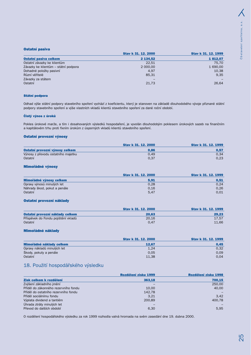## Ostatní pasiva

|                                      | Stav k 31, 12, 2000 | Stav k 31, 12, 1999 |
|--------------------------------------|---------------------|---------------------|
| Ostatní pasiva celkem                | 2 134.52            | 1812,07             |
| Ostatní závazky ke klientům          | 22.51               | 75.70               |
| Závazky ke klientům – státní podpora | 2 000.00            | 1 690.00            |
| Dohadné položky pasivní              | 4.97                | 10,38               |
| Různí věřitelé                       | 85.31               | 9.35                |
| Závazky za státem                    |                     |                     |
| Ostatní                              | 21,73               | 26.64               |

#### Státní podpora

Odhad výše státní podpory stavebního spoření vychází z koeficientu, který je stanoven na základě dlouhodobého vývoje přiznané státní podpory stavebního spoření a výše vlastních vkladů klientů stavebního spoření za dané roční období.

## Čistý výnos z úroků

Pokles úrokové marže, a tím i dosahovaných výsledků hospodaření, je vyvolán dlouhodobým poklesem úrokových sazeb na finančním a kapitálovém trhu proti fixním úrokům z úsporných vkladů klientů stavebního spoření.

## Ostatní provozní výnosy

|                                    | Stav k 31, 12, 2000 | Stav k 31, 12, 1999 |
|------------------------------------|---------------------|---------------------|
| Ostatní provozní výnosy celkem     | 0.86                |                     |
| Výnosy z převodu ostatního majetku | 0.49                | 0.34                |
| Ostatní                            | 0.37                | 0.23                |

### Mimořádné výnosy

|                              | Stav k 31, 12, 2000 | Stav k 31, 12, 1999 |
|------------------------------|---------------------|---------------------|
| Mimořádné výnosy celkem      | 5.91                | 0.51                |
| Opravy výnosů minulých let   | 0,28                | 0.24                |
| Náhrady škod, pokut a penále | 0,16                | 0,26                |
| Ostatní                      | 5.47                | 0.01                |

## Ostatní provozní náklady

|                                     | Stav k 31, 12, 2000 | Stav k 31, 12, 1999 |
|-------------------------------------|---------------------|---------------------|
| Ostatní provozní náklady celkem     | 20.63               | 29.23               |
| Příspěvek do Fondu pojištění vkladů | 20.16               | 17.57               |
| Ostatní                             | 0.47                | 11.66               |

### Mimofiádné náklady

|                             | Stav k 31, 12, 2000 | Stav k 31, 12, 1999 |
|-----------------------------|---------------------|---------------------|
| Mimořádné náklady celkem    | 12.67               | 0.45                |
| Opravy nákladů minulých let | 1,24                | 0,32                |
| Škody, pokuty a penále      | 0.05                | 0.09                |
| Ostatní                     | 11,38               | 0.04                |

# 18. Použití hospodářského výsledku

|                                      | Rozdělení zisku 1999 | Rozdělení zisku 1998 |
|--------------------------------------|----------------------|----------------------|
| Zisk celkem k rozdělení              | 363.18               | 700,15               |
| Zvýšení základního jmění             |                      | 250,00               |
| Příděl do zákonného rezervního fondu | 10.00                | 40,00                |
| Příděl do ostatního rezervního fondu | 142.78               |                      |
| Příděl sociálnímu fondu              | 3,21                 | 3.42                 |
| Výplata dividend a tantiém           | 200.89               | 400,78               |
| Úhrada ztráty minulých let           |                      |                      |
| Převod do dalších období             | 6.30                 | 5.95                 |

O rozdělení hospodářského výsledku za rok 1999 rozhodla valná hromada na svém zasedání dne 19. dubna 2000.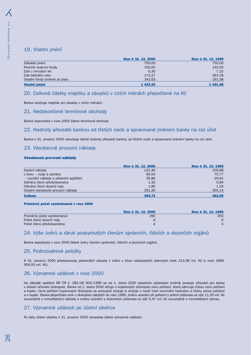ČS-stavební spořitelna, a.s.

ČS-stavební spořitelna, a.s.

# 19. Vlastní jmění

|                                | Stav k 31, 12, 2000 | Stav k 31, 12, 1999 |
|--------------------------------|---------------------|---------------------|
| Základní jmění                 | 750.00              | 750.00              |
| Povinné rezervní fondy         | 150,00              | 140,00              |
| Zisk z minulých let            | 6.30                | 7,22                |
| Zisk běžného roku              | 173,27              | 363,18              |
| Ostatní fondy tvořené ze zisku | 342,63              | 191,58              |
| Vlastní jmění                  | 1422.20             | 1451.98             |

# 20. Celkové částky majetku a závazků v cizích měnách přepočtené na Kč

Banka neúčtuje majetek ani závazky v cizích měnách.

## 21. Nedokončené termínové obchody

Banka neprovedla v roce 2000 žádné termínové obchody.

## 22. Hodnoty pfievzaté bankou od tfietích osob a spravované jménem banky na cizí úãet

Banka k 31. prosinci 2000 neeviduje žádné hodnoty převzaté bankou od třetích osob a spravované jménem banky na cizí účet.

## 23. Všeobecné provozní náklady

## Všeobecné provozní náklady

|                                          | Stav k 31, 12, 2000 | Stav k 31, 12, 1999 |
|------------------------------------------|---------------------|---------------------|
| Osobní náklady                           | 131.40              | 105,68              |
| z toho: – mzdy a odměny                  | 95.54               | 75.77               |
| - sociální náklady a zdravotní pojištění | 35,86               | 29.91               |
| Odměny členů představenstva              | 1,32                | 0,84                |
| Odměny členů dozorčí rady                | 1.80                | 1.03                |
| Ostatní všeobecné provozní náklady       | 331,20              | 355,14              |
| <b>Celkem</b>                            | 465.72              | 462,69              |

## Průměrný počet zaměstnanců v roce 2000

|                            | Stav k 31, 12, 2000 | Stav k 31, 12, 1999 |
|----------------------------|---------------------|---------------------|
| Průměrný počet zaměstnanců | 290                 | 253                 |
| Počet členů dozorčí rady   |                     | 6                   |
| Počet členů představenstva |                     | $\overline{4}$      |

## 24. Výše úvěrů a záruk poskytnutých členům správních, řídicích a dozorčích orgánů

Banka neposkytla v roce 2000 žádné úvěry členům správních, řídicích a dozorčích orgánů.

## 25. Podrozvahové položky

K 31. prosinci 2000 představovaly potenciální závazky z úvěrů z titulu nečerpaných úvěrových linek 213,36 mil. Kč (v roce 1999: 504,55 mil. Kã).

# 26. V˘znamné události v roce 2000

Na základě opatření MF ČR č. 282/49 900/1999 se od 1. ledna 2000 zásadním způsobem změnily postupy účtování pro banky v oblasti účtování dluhopisů. Banka od 1. ledna 2000 účtuje u kupónových dluhopisů cenu pořízení, která zahrnuje čistou cenu pořízení a kupón. Cena pořízení kuponových dluhopisů se postupně zvyšuje či snižuje o rozdíl mezi nominální hodnotou a čistou cenou pořízení a o kupón. Banka přepočítala úrok u dluhopisů nabytých do roku 1999, změnu ocenění při pořízení s prémií zúčtovala ve výši 11,29 mil. Kč souvztažně s mimořádnými náklady a změnu ocenění s diskontem zúčtovala ve výši 5,47 mil. Kč souvztažně s mimořádnými výnosy.

# 27. Významné události po účetní závěrce

Po datu účetní závěrky k 31. prosinci 2000 nenastaly žádné významné události.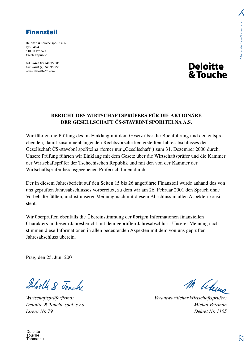

Deloitte & Touche spol. s r. o. Týn 641/4 110 00 Praha 1 Czech Republic

Tel.: +420 (2) 248 95 500 Fax: +420 (2) 248 95 555 www.deloitteCE.com



# **BERICHT DES WIRTSCHAFTSPRÜFERS FÜR DIE AKTIONÄRE DER GESELLSCHAFT ČS-STAVEBNÍ SPOŘITELNA A.S.**

Wir führten die Prüfung des im Einklang mit dem Gesetz über die Buchführung und den entsprechenden, damit zusammenhängenden Rechtsvorschriften erstellten Jahresabschlusses der Gesellschaft ČS-stavební spořitelna (ferner nur "Gesellschaft") zum 31. Dezember 2000 durch. Unsere Prüfung führten wir Einklang mit dem Gesetz über die Wirtschaftsprüfer und die Kammer der Wirtschaftsprüfer der Tschechischen Republik und mit den von der Kammer der Wirtschaftsprüfer herausgegebenen Prüferrichtlinien durch.

Der in diesem Jahresbericht auf den Seiten 15 bis 26 angeführte Finanzteil wurde anhand des von uns geprüften Jahresabschlusses vorbereitet, zu dem wir am 26. Februar 2001 den Spruch ohne Vorbehalte fällten, und ist unserer Meinung nach mit diesem Abschluss in allen Aspekten konsistent.

Wir überprüften ebenfalls die Übereinstimmung der übrigen Informationen finanziellen Charakters in diesem Jahresbericht mit dem geprüften Jahresabschluss. Unserer Meinung nach stimmen diese Informationen in allen bedeutenden Aspekten mit dem von uns geprüften Jahresabschluss überein.

Prag, den 25. Juni 2001

Deloville & Jonahe

M. Setuno

*Wirtschaftsprüferfirma: Verantwortlicher Wirtschaftsprüfer: Deloitte & Touche spol. s r.o. Michal Petrman Lizenz Nr. 79 Dekret Nr. 1105*

S-stavební spořitelna, a.s. ČS-stavební spořitelna, a.s.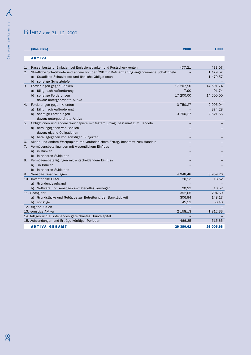# Bilanz zum 31. 12. 2000

|          | (Mio. CZK)                                                                                                                                                     | 2000      | 1999               |
|----------|----------------------------------------------------------------------------------------------------------------------------------------------------------------|-----------|--------------------|
|          |                                                                                                                                                                |           |                    |
|          | <b>AKTIVA</b>                                                                                                                                                  |           |                    |
|          |                                                                                                                                                                | 477.21    |                    |
| 1.<br>2. | Kassenbestand, Einlagen bei Emissionsbanken und Postscheckkonten<br>Staatliche Schatzbriefe und andere von der CNB zur Refinanzierung angenommene Schatzbriefe |           | 433,07<br>1 479,57 |
|          | a) Staatliche Schatzbriefe und ähnliche Obligationen                                                                                                           |           | 1 479,57           |
|          | b) sonstige Schatzbriefe                                                                                                                                       |           |                    |
| 3.       | Forderungen gegen Banken                                                                                                                                       | 17 207,90 | 14 591,74          |
|          | a) fällig nach Aufforderung                                                                                                                                    | 7,90      | 91,74              |
|          | b) sonstige Forderungen                                                                                                                                        | 17 200,00 | 14 500,00          |
|          | davon: untergeordnete Aktiva                                                                                                                                   |           |                    |
| 4.       | Forderungen gegen Klienten                                                                                                                                     | 3 750,27  | 2 995,94           |
|          | a) fällig nach Aufforderung                                                                                                                                    |           | 374,28             |
|          | b) sonstige Forderungen                                                                                                                                        | 3 750,27  | 2 621,66           |
|          | davon: untergeordnete Aktiva                                                                                                                                   |           |                    |
| 5.       | Obligationen und andere Wertpapiere mit festem Ertrag, bestimmt zum Handeln                                                                                    |           |                    |
|          | a) herausgegeben von Banken                                                                                                                                    |           |                    |
|          | davon: eigene Obligationen                                                                                                                                     |           |                    |
|          | b) herausgegeben von sonstigen Subjekten                                                                                                                       |           |                    |
| 6.       | Aktien und andere Wertpapiere mit veränderlichem Ertrag, bestimmt zum Handeln                                                                                  |           |                    |
| 7.       | Vermögensbeteiligungen mit wesentlichem Einfluss                                                                                                               |           |                    |
|          | a) in Banken                                                                                                                                                   |           |                    |
|          | b) in anderen Subjekten                                                                                                                                        |           |                    |
| 8.       | Vermögensbeteiligungen mit entscheidendem Einfluss                                                                                                             |           |                    |
|          | a) in Banken                                                                                                                                                   |           |                    |
|          | b) in anderen Subjekten                                                                                                                                        |           |                    |
| 9.       | Sonstige Finanzanlagen                                                                                                                                         | 4 948,48  | 3 959,26           |
|          | 10. Immaterielle Güter                                                                                                                                         | 20,23     | 13,52              |
|          | a) Gründungsaufwand                                                                                                                                            |           |                    |
|          | b) Software und sonstiges immaterielles Vermögen                                                                                                               | 20.23     | 13,52              |
|          | 11. Sachgüter                                                                                                                                                  | 352,05    | 204,60             |
|          | a) Grundstücke und Gebäude zur Betreibung der Banktätigkeit                                                                                                    | 306,94    | 148,17             |
|          | b) sonstige                                                                                                                                                    | 45,11     | 56,43              |
|          | 12. eigene Aktien                                                                                                                                              |           |                    |
|          | 13. sonstige Aktiva<br>14. fälliges und ausstehendes gezeichnetes Grundkapital                                                                                 | 2 158,13  | 1812,33            |
|          | 15. Aufwendungen und Erträge künftiger Perioden                                                                                                                | 466,35    | 515,65             |
|          |                                                                                                                                                                |           |                    |
|          | <b>AKTIVA GESAMT</b>                                                                                                                                           | 29 380,62 | 26 005,68          |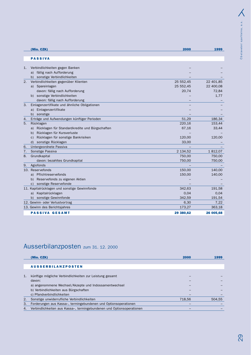|          | (Mio. CZK)                                               | 2000      | 1999      |
|----------|----------------------------------------------------------|-----------|-----------|
|          |                                                          |           |           |
|          | <b>PASSIVA</b>                                           |           |           |
|          |                                                          |           |           |
| 1.       | Verbindlichkeiten gegen Banken                           |           |           |
|          | a) fällig nach Aufforderung                              |           |           |
|          | b) sonstige Verbindlichkeiten                            |           |           |
| 2.       | Verbindlichkeiten gegenüber Klienten                     | 25 552,45 | 22 401,85 |
|          | a) Spareinlagen                                          | 25 552,45 | 22 400,08 |
|          | davon: fällig nach Aufforderung                          | 20,74     | 72,84     |
|          | b) sonstige Verbindlichkeiten                            |           | 1,77      |
|          | davon: fällig nach Aufforderung                          |           |           |
| 3.       | Einlagenzertifikate und ähnliche Obligationen            |           |           |
|          | a) Einlagenzertifikate                                   |           |           |
|          | b) sonstige                                              | 51,29     | 186,34    |
| 4.<br>5. | Erträge und Aufwendungen künftiger Perioden<br>Rücklagen | 220,16    | 153,44    |
|          | a) Rücklagen für Standardkredite und Bürgschaften        | 67,16     | 33,44     |
|          | b) Rücklagen für Kursverluste                            |           |           |
|          | c) Rücklagen für sonstige Bankrisiken                    | 120,00    | 120,00    |
|          | d) sonstige Rücklagen                                    | 33,00     |           |
| 6.       | Untergeordnete Passiva                                   |           |           |
| 7.       | Sonstige Passiva                                         | 2 134,52  | 1 812,07  |
| 8.       | Grundkapital                                             | 750,00    | 750,00    |
|          | davon: bezahltes Grundkapital                            | 750,00    | 750,00    |
| 9.       | Agiofonds                                                |           |           |
|          | 10. Reservefonds                                         | 150,00    | 140,00    |
|          | a) Pflichtreservefonds                                   | 150,00    | 140,00    |
|          | b) Reservefonds zu eigenen Aktien                        |           |           |
|          | c) sonstige Reservefonde                                 |           |           |
|          | 11. Kapitalrücklagen und sonstige Gewinnfonde            | 342,63    | 191,58    |
|          | a) Kapitalrücklagen                                      | 0,04      | 0,04      |
|          | b) sonstige Gewinnfonde                                  | 342,59    | 191,54    |
|          | 12. Gewinn- oder Verlustvortrag                          | 6,30      | 7,22      |
|          | 13. Gewinn des Berichtsjahres                            | 173,27    | 363,18    |
|          | <b>PASSIVA GESAMT</b>                                    | 29 380,62 | 26 005,68 |

# Ausserbilanzposten zum 31. 12. 2000

|    | (Mio. CZK)                                                            | 2000   | 1999   |
|----|-----------------------------------------------------------------------|--------|--------|
|    |                                                                       |        |        |
|    | <b>AUSSERBILANZPOSTEN</b>                                             |        |        |
|    |                                                                       |        |        |
| 1. | künftige mögliche Verbindlichkeiten zur Leistung gesamt               |        |        |
|    | davon:                                                                |        |        |
|    | a) angenommene Wechsel/Akzepte und Indossamentwechsel                 |        |        |
|    | b) Verbindlichkeiten aus Bürgschaften                                 |        |        |
|    | c) Pfandverbindlichkeiten                                             |        |        |
| 2. | Sonstige unwiderrufliche Verbindlichkeiten                            | 718.56 | 504.55 |
| 3. | Forderungen aus Kassa-, termingebundenen und Optionsoperationen       |        |        |
| 4. | Verbindlichkeiten aus Kassa-, termingebundenen und Optionsoperationen |        |        |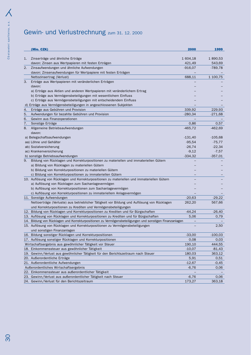# Gewin- und Verlustrechnung zum 31. 12. 2000

|     | (Mio. CZK)                                                                                              | 2000      | 1999                |
|-----|---------------------------------------------------------------------------------------------------------|-----------|---------------------|
|     |                                                                                                         | 1 604,18  |                     |
| 1.  | Zinserträge und ähnliche Erträge                                                                        | 421,49    | 1890,53             |
| 2.  | davon: Zinsen aus Wertpapieren mit festen Erträgen<br>Zinsaufwendungen und ähnliche Aufwendungen        | $-916,07$ | 543,69<br>$-789,78$ |
|     | davon: Zinsenaufwendungen für Wertpapiere mit festen Erträgen                                           |           |                     |
|     | Nettozinsertrag (Verlust)                                                                               | 688,11    | 1 100,75            |
| 3.  | Erträge aus Wertpapieren mit veränderlichen Erträgen                                                    |           |                     |
|     | davon:                                                                                                  |           |                     |
|     | a) Erträge aus Aktien und anderen Wertpapieren mit veränderlichem Ertrag                                |           |                     |
|     | b) Erträge aus Vermögensbeteiligungen mit wesentlichem Einfluss                                         |           |                     |
|     | c) Erträge aus Vermögensbeteiligungen mit entscheidendem Einfluss                                       |           |                     |
|     | d) Erträge aus Vermögensbeteiligungen in angeschlossenen Subjekten                                      |           |                     |
| 4.  | Erträge aus Gebühren und Provision                                                                      | 339,92    | 229,93              |
| 5.  | Aufwendungen für bezahlte Gebühren und Provision                                                        | $-280,34$ | $-271,68$           |
| 6.  | Gewinn aus Finanzoperationen                                                                            |           |                     |
| 7.  | Sonstige Erträge                                                                                        | 0,86      | 0,57                |
| 8.  | Allgemeine Betriebsaufwendungen                                                                         | $-465,72$ | $-462,69$           |
|     | davon:                                                                                                  |           |                     |
|     | a) Belegschaftsaufwendungen                                                                             | $-131,40$ | $-105,68$           |
|     | aa) Löhne und Gehälter                                                                                  | $-95,54$  | $-75,77$            |
|     | ab) Sozialversicherung                                                                                  | $-26,74$  | $-22,34$            |
|     | ac) Krankenversicherung                                                                                 | $-9,12$   | $-7,57$             |
|     | b) sonstige Betriebsaufwendungen                                                                        | $-334,32$ | $-357,01$           |
| 9.  | Bildung von Rücklagen und Korrekturpositionen zu materiellen und immateriellen Gütern                   |           |                     |
|     | a) Bildung von Rücklagen zu materiellen Gütern                                                          |           |                     |
|     | b) Bildung von Korrekturpositionen zu materiellen Gütern                                                |           |                     |
|     | c) Bildung von Korrekturpositionen zu immateriellen Gütern                                              |           |                     |
|     | 10. Auflösung von Rücklagen und Korrekturpositionen zu materiellen und immateriellen Gütern             |           |                     |
|     | a) Auflösung von Rücklagen zum Sachanlagevermögen                                                       |           |                     |
|     | b) Auflösung von Korrekturpositionen zum Sachanlagevermögen                                             |           |                     |
|     | c) Auflösung von Korrekturpositionen zu immateriellem Anlagevermögen                                    |           |                     |
|     | 11. Sonstige Aufwendungen                                                                               | $-20,63$  | $-29.22$            |
|     | Nettoerträge (Verluste) aus betrieblicher Tätigkeit vor Bildung und Auflösung von Rücklagen             | 262,20    | 567,66              |
|     | und Korrekturpositionen zu Krediten und Vermögensbeteiligungen                                          |           |                     |
|     | 12. Bildung von Rücklagen und Korrekturpositionen zu Krediten und für Bürgschaften                      | $-44,24$  | $-26,40$            |
|     | 13. Auflösung von Rücklagen und Korrekturpositionen zu Krediten und für Bürgschaften                    | 5,06      | 0,79                |
|     | 14. Bildung von Rücklagen und Korrekturpositionen zu Vermögensbeteiligungen und sonstigen Finanzanlagen |           |                     |
|     | 15. Auflösung von Rücklagen und Korrekturpositionen zu Vermögensbeteiligungen                           |           | 2,50                |
|     | und sonstigen Finanzanlagen                                                                             |           |                     |
|     | 16. Bildung sonstiger Rücklagen und Korrekturpositionen                                                 | -33,00    | $-100,03$           |
|     | 17. Auflösung sonstiger Rücklagen und Korrekturpositionen                                               | 0,08      | 0,03                |
|     | Wirtschaftsergebnis aus gewöhnlicher Tätigkeit vor Steuer                                               | 190,10    | 444,55              |
| 18. | Einkommenssteuer aus gewöhnlicher Tätigkeit                                                             | $-10,07$  | $-81,43$            |
|     | 19. Gewinn/Verlust aus gewöhnlicher Tätigkeit für den Berichtszeitraum nach Steuer                      | 180,03    | 363,12              |
|     | 20. Außerordentliche Erträge                                                                            | 5,91      | 0,51                |
|     | 21. Außerordentliche Aufwendungen                                                                       | $-12,67$  | -0,45               |
|     | Außerordentliches Wirtschaftsergebnis                                                                   | -6,76     | 0,06                |
|     | 22. Einkommenssteuer aus außerordentlicher Tätigkeit                                                    |           |                     |
|     | 23. Gewinn/Verlust aus außerordentlicher Tätigkeit nach Steuer                                          | $-6,76$   | 0,06                |
|     | 24. Gewinn/Verlust für den Berichtszeitraum                                                             | 173,27    | 363,18              |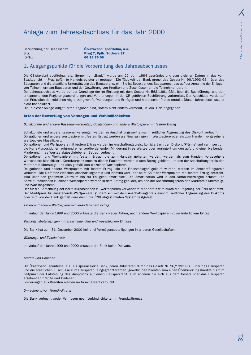# Anlage zum Jahresabschluss für das Jahr 2000

| Bezeichnung der Gesellschaft: |
|-------------------------------|
| Sitz:                         |
| $ID-Nr$ .:                    |

ČS-stavební spořitelna, a.s. Prag 7, Pplk. Sochora 27 60 19 76 09

## 1. Ausgangspunkte für die Vorbereitung des Jahresabschlusses

Die ČS-stavební spořitelna, a.s. (ferner nur "Bank") wurde am 22. Juni 1994 gegründet und zum gleichen Datum in das vom Stadtgericht in Prag geführte Handelsregister eingetragen. Die Tätigkeit der Bank grenzt das Gesetz Nr. 96/1993 GBl., über das Bausparen und die staatliche Unterstützung des Bausparens, ein. Sie ist Betreiber des Bausparens, das auf der Annahme der Einlagen von Teilnehmern am Bausparen und der Gewährung von Krediten und Zuschüssen an die Teilnehmer beruht.

Der Jahresabschluss wurde auf der Grundlage der im Einklang mit dem Gesetz Nr. 563/1991 GBl., über die Buchführung, und den entsprechenden Regierungsanordnungen und Verordnungen in der CR geführten Buchführung vorbereitet. Der Abschluss wurde auf den Prinzipien der zeitlichen Abgrenzung von Aufwendungen und Erträgen und historischer Preise erstellt. Dieser Jahresabschluss ist nicht konsolidiert.

Die in dieser Anlage aufgeführten Angaben sind, sofern nicht anders vermerkt, in Mio. CZK angegeben.

### Arten der Bewertung von Vermögen und Verbindlichkeiten

Schatzbriefe und andere Kassenanweisungen, Obligationen und andere Wertpapiere mit festem Ertrag

Schatzbriefe und andere Kassenanweisungen werden im Anschaffungswert einschl. zeitlicher Abgrenzung des Diskont verbucht. Obligationen und andere Wertpapiere mit festem Ertrag werden als Finanzanlagen in Wertpapiere oder als zum Handeln vorgesehene Wertpapiere klassifiziert.

Obligationen und Wertpapiere mit festem Ertrag werden im Anschaffungspreis, korrigiert um den Diskont (Prämie) und verringert um die Korrekturpositionen aufgrund einer vorübergehenden Minderung ihres Wertes oder verringert um den aufgrund einer bleibenden Minderung ihres Wertes abgeschriebenen Betrag, verbucht.

Obligationen und Wertpapiere mit festem Ertrag, die zum Handeln gehalten werden, werden als zum Handeln vorgesehene Wertpapiere klassifiziert. Korrekturpositionen zu diesen Papieren werden in dem Betrag gebildet, um den der Anschaffungspreis den Marktpreis übersteigt, und dies gemäß den einzelnen Wertpapieren.

Obligationen und andere Wertpapiere mit festem Ertrag, die als Finanzanlagen gekauft wurden, werden im Anschaffungspreis verbucht. Die Differenz zwischen Anschaffungspreis und Nominalwert, der beim Kauf der Wertpapiere mit festem Ertrag entsteht, wird über den gesamten Zeitraum bis zur Fälligkeit amortisiert. Die Amortisation wird in den Nettozinserträgen erfasst. Die Korrekturpositionen zu diesen Wertpapieren werden in dem Betrag gebildet, um den der Anschaffungspreis den Marktpreis übersteigt, und zwar insgesamt.

Der für die Berechnung der Korrekturpositionen zu Wertpapieren verwendete Marktpreis wird durch die Regelung der âNB bestimmt. Der Marktpreis für ausstehende Wertpapiere ist identisch mit dem Anschaffungspreis einschl. zeitlicher Abgrenzung des Diskonts oder wird von der Bank gemäß dem durch die âNB abgestimmten System festgelegt.

Aktien und andere Wertpapiere mit veränderlichem Ertrag

Im Verlauf der Jahre 1999 und 2000 erfasste die Bank weder Aktien, noch andere Wertpapiere mit veränderlichem Ertrag.

Vermögensbeteiligungen mit entscheidendem und wesentlichem Einfluss

Die Bank hat zum 31. Dezember 2000 keinerlei Vermögensbeteiligungen in anderen Gesellschaften.

Währungs- und Zinsderivate

Im Verlauf der Jahre 1999 und 2000 erfasste die Bank keine Derivate.

#### Kredite und Darlehen

Die âS-stavební spofiitelna, a.s. als spezialisierte Bank, deren Aktivitäten durch das Gesetz Nr. 96/1993 GBl., über das Bausparen und die staatlichen Zuschüsse zum Bausparen, eingegrenzt werden, gewährt den Klienten zum einen Überbrückungskredite bis zum Zeitpunkt der Entstehung des Anspruchs auf einen Bausparkredit, zum anderen die sich aus dem Gesetz über das Bausparen ergebenden Kredite und Darlehen.

Forderungen aus Krediten werden im Nominalwert verbucht.

Umrechnung von Fremdwährung

Die Bank verbucht weder Vermögen noch Verbindlichkeiten in Fremdwährungen.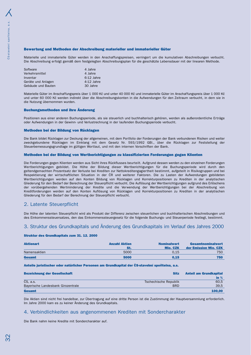## Bewertung und Methoden der Abschreibung materieller und immaterieller Güter

Materielle und immaterielle Güter werden in den Anschaffungspreisen, verringert um die kumulativen Abschreibungen verbucht. Die Abschreibung erfolgt gemäß dem festgelegten Abschreibungsplan für die geschätzte Lebensdauer mit der linearen Methode.

| Software           | 4 Jahre    |
|--------------------|------------|
| Verkehrsmittel     | 4 Jahre    |
| Inventar           | 6-12 Jahre |
| Geräte und Anlagen | 4-12 Jahre |
| Gebäude und Bauten | 30 Jahre   |

Materielle Güter im Anschaffungspreis über 1 000 Kã und unter 40 000 Kã und immaterielle Güter im Anschaffungspreis über 1 000 Kã und unter 60 000 Kã werden indirekt über die Abschreibungskonten in die Aufwendungen für den Zeitraum verbucht, in dem sie in die Nutzung übernommen wurden.

#### Buchungsmethoden und ihre Änderung

Positionen aus einer anderen Buchungsperiode, als sie steuerlich und buchhalterisch gehören, werden als außerordentliche Erträge oder Aufwendungen in der Gewinn- und Verlustrechnung in der laufenden Buchungsperiode verbucht.

#### Methoden bei der Bildung von Rücklagen

Die Bank bildet Rücklagen zur Deckung der allgemeinen, mit dem Portfolio der Forderungen der Bank verbundenen Risiken und weiter zweckgebundene Rücklagen im Einklang mit dem Gesetz Nr. 593/1992 GBl., über die Rücklagen zur Feststellung der Steuerbemessungsgrundlage im gültigen Wortlaut, und mit den internen Vorschriften der Bank.

#### Methoden bei der Bildung von Wertberichtigungen zu klassifizierten Forderungen gegen Klienten

Die Forderungen gegen Klienten werden aus Sicht ihres Rückflusses beurteilt. Aufgrund dessen werden zu den einzelnen Forderungen Wertberichtigungen gebildet. Die Höhe der Bildung dieser Wertberichtigungen für die Buchungsperiode wird durch den geltendgemachten Prozentsatz der Verluste bei Krediten zur Nettokreditengagiertheit bestimmt, aufgeteilt in Risikogruppen und bei Respektierung der wirtschaftlichen Situation in der ČR und weiterer Faktoren. Die zu Lasten der Aufwendungen gebildeten Wertberichtigungen werden auf den Konten Bildung von Rücklagen und Korrekturpositionen zu Krediten in der analytischen Gliederung für den Bedarf der Berechnung der Steuerpflicht verbucht. Die Auflösung der Wertberichtigungen aufgrund des Erlöschens der vorübergehenden Wertminderung der Kredite und die Verwendung der Wertberichtigungen bei der Abschreibung von Kreditforderungen werden auf den Konten Auflösung von Rücklagen und Korrekturpositionen zu Krediten in der analytischen Gliederung für den Bedarf der Berechnung der Steuerpflicht verbucht.

## 2. Latente Steuerpflicht

Die Höhe der latenten Steuerpflicht wird als Produkt der Differenz zwischen steuerlichen und buchhalterischen Abschreibungen und des Einkommenssteuersatzes, den das Einkommenssteuergesetz für die folgende Buchungs- und Steuerperiode festlegt, bestimmt.

## 3. Struktur des Grundkapitals und Änderung des Grundkapitals im Verlauf des Jahres 2000

## Struktur des Grundkapitals zum 31. 12. 2000

| <b>Aktienart</b> | <b>Anzahl Aktien</b><br>St. | <b>Nominalwert</b><br>Mio. CZK | <b>Gesamtnominalwert</b><br>der Emission Mio. CZK |
|------------------|-----------------------------|--------------------------------|---------------------------------------------------|
| Namensaktien     | 5000                        | 0.15                           | 750                                               |
| Gesamt           | 5000                        | 0.15                           | 750                                               |

Anteile juristischer oder natürlicher Personen am Grundkapital der ČS-stavební spořitelna, a.s.

| <b>Bezeichnung der Gesellschaft</b> | <b>Sitz</b>           | <b>Anteil am Grundkapital</b> |
|-------------------------------------|-----------------------|-------------------------------|
|                                     |                       | in $%$                        |
| ČS, a.s.                            | Tschechische Republik | 60,5                          |
| Bayerische Landesbank Girozentrale  | <b>BRD</b>            | 39,5                          |
| <b>Gesamt</b>                       |                       | 100.00                        |

Die Aktien sind nicht frei handelbar, zur Übertragung auf eine dritte Person ist die Zustimmung der Hauptversammlung erforderlich. Im Jahre 2000 kam es zu keiner Änderung des Grundkapitals.

## 4. Verbindlichkeiten aus angenommenen Krediten mit Sondercharakter

Die Bank nahm keine Kredite mit Sondercharakter auf.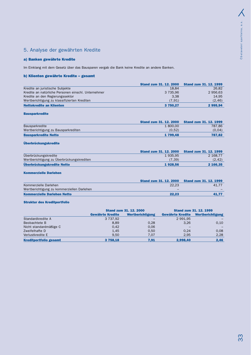# 5. Analyse der gewährten Kredite

## a) Banken gewährte Kredite

Im Einklang mit dem Gesetz über das Bausparen vergab die Bank keine Kredite an andere Banken.

## b) Klienten gewährte Kredite – gesamt

|                                                     | Stand zum 31, 12, 2000 Stand zum 31, 12, 1999 |          |
|-----------------------------------------------------|-----------------------------------------------|----------|
| Kredite an juristische Subjekte                     | 18.84                                         | 26.82    |
| Kredite an natürliche Personen einschl. Unternehmer | 3 7 3 5 . 9 6                                 | 2 956,63 |
| Kredite an den Regierungssektor                     | 3.38                                          | 14.95    |
| Wertberichtigung zu klassifizierten Krediten        | (7.91)                                        | (2, 46)  |
| Nettokredite an Klienten                            | 3 750.27                                      | 2 995.94 |

## **Bausparkredite**

|                                     | <b>Stand zum 31, 12, 2000</b> | <b>Stand zum 31, 12, 1999</b> |
|-------------------------------------|-------------------------------|-------------------------------|
| <b>Bausparkredite</b>               | 1 800.00                      | 787.86                        |
| Wertberichtigung zu Bausparkrediten | (0.52)                        | (0.04)                        |
| <b>Bausparkredite Netto</b>         | 1 799.48                      | 787.82                        |

## Überbrückungskredite

|                                           | <b>Stand zum 31, 12, 2000</b> | <b>Stand zum 31, 12, 1999</b> |
|-------------------------------------------|-------------------------------|-------------------------------|
| Überbrückungskredite                      | 1935.95                       | 2 168.77                      |
| Wertberichtigung zu Überbrückungskrediten | (7, 39)                       | (2, 42)                       |
| Überbrückungskredite Netto                | 1928.56                       | 2 166.35                      |

## Kommerzielle Darlehen

|                                            | Stand zum 31, 12, 2000 Stand zum 31, 12, 1999 |       |
|--------------------------------------------|-----------------------------------------------|-------|
| Kommerzielle Darlehen                      | 22.23                                         | 41.77 |
| Wertberichtigung zu kommerziellen Darlehen |                                               |       |
| <b>Kommerzielle Darlehen Netto</b>         | 22.23                                         | 41.77 |

## Struktur des Kreditportfolio

|                               |                  | <b>Stand zum 31, 12, 2000</b> | <b>Stand zum 31, 12, 1999</b> |                  |  |
|-------------------------------|------------------|-------------------------------|-------------------------------|------------------|--|
|                               | Gewährte Kredite | Wertberichtigung              | Gewährte Kredite              | Wertberichtigung |  |
| Standardkredite A             | 3 7 3 7 . 9 2    |                               | 2 991.95                      |                  |  |
| Beobachtete B                 | 8,89             | 0,28                          | 3.26                          | 0.10             |  |
| Nicht standardmäßige C        | 0.42             | 0,06                          |                               |                  |  |
| Zweifelhafte D                | 1,45             | 0,50                          | 0.24                          | 0,08             |  |
| Verlustkredite E              | 9.50             | 7.07                          | 2.95                          | 2,28             |  |
| <b>Kreditportfolio gesamt</b> | 3 758,18         | 7,91                          | 2,998,40                      | 2,46             |  |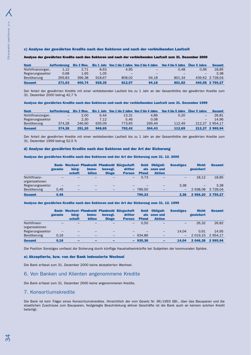## c) Analyse der gewährten Kredite nach den Sektoren und nach der verbleibenden Laufzeit

#### Analyse der gewährten Kredite nach den Sektoren und nach der verbleibenden Laufzeit zum 31. Dezember 2000

| <b>Nach</b>       | <b>Aufforderung</b> | <b>Bis 3 Mon.</b> |        |        | Bis 1 Jahr Von 1 bis 2 Jahre Von 2 bis 4 Jahre | <b>Von 4 bis 5 Jahre</b> | Über 5 Jahre | <b>Gesamt</b>   |
|-------------------|---------------------|-------------------|--------|--------|------------------------------------------------|--------------------------|--------------|-----------------|
| Nichtfinanzorgan. | 1.12                | 2.71              | 8.63   | 4.95   | $\overline{\phantom{0}}$                       | 0.48                     | 0.96         | 18.85           |
| Regierungssektor  | 0.68                | 1.65              | 1.05   | -      |                                                |                          |              | 3.38            |
| Bevölkerung       | 269.83              | 396.38            | 918.67 | 808.02 | 94.18                                          | 801.34                   |              | 439.62 3 728.04 |
| Gesamt            | 271.63              | 400.74            | 928.35 | 812.97 | 94.18                                          | 801.82                   |              | 440.58 3 750.27 |

Der Anteil der gewährten Kredite mit einer verbleibenden Laufzeit bis zu 1 Jahr an der Gesamthöhe der gewährten Kredite zum 31. Dezember 2000 betrug 42,7 %

### Analyse der gewährten Kredite nach den Sektoren und nach der verbleibenden Laufzeit zum 31. Dezember 1999

| <b>Nach</b>       | <b>Aufforderung</b> | <b>Bis 3 Mon.</b> |        | Bis 1 Jahr Von 1 bis 2 Jahre Von 2 bis 4 Jahre |        | Von 4 bis 5 Jahre | Über 5 Jahre             | Gesamt          |
|-------------------|---------------------|-------------------|--------|------------------------------------------------|--------|-------------------|--------------------------|-----------------|
| Nichtfinanzorgan. | $\qquad \qquad -$   | 2.00              | 6.44   | 13.31                                          | 4.86   | 0.20              | -                        | 26.81           |
| Regierungssektor  | $\qquad \qquad -$   | 2.30              | 7.12   | 5.46                                           | 0.08   | $-$               | $\overline{\phantom{m}}$ | 14.96           |
| Bevölkerung       | 374.28              | 246.90            | 935.09 | 773.65                                         | 299.49 | 112.49            | 212.27                   | 2 9 54.17       |
| Gesamt            | 374.28              | 251.20            | 948.65 | 792.42                                         | 304.43 | 112.69            |                          | 212.27 2 995.94 |

Der Anteil der gewährten Kredite mit einer verbleibenden Laufzeit bis zu 1 Jahr an der Gesamthöhe der gewährten Kredite zum 31. Dezember 1999 betrug 52,5 %

#### d) Analyse der gewährten Kredite nach den Sektoren und der Art der Sicherung

Analyse der gewährten Kredite nach den Sektoren und der Art der Sicherung zum 31. 12. 2000

|                  | garanie           | bűrg-<br><b>schaft</b> | Immo-<br><b>bilien</b> | beweg.<br><b>Dinge</b>   | <b>Bank- Wechsel- Pfandrecht Pfandrecht Bürgschaft</b><br>dritter<br><b>Person</b> | <b>Pfand</b> | <b>Geld Obligati-</b><br>als onen und<br><b>Aktien</b> | <b>Sonstiges</b>  | <b>Nicht</b><br>gesichert | Gesamt    |
|------------------|-------------------|------------------------|------------------------|--------------------------|------------------------------------------------------------------------------------|--------------|--------------------------------------------------------|-------------------|---------------------------|-----------|
| Nichtfinanz-     | $\qquad \qquad -$ | $\qquad \qquad -$      |                        |                          |                                                                                    | 0.73         |                                                        | -                 | 18.12                     | 18,85     |
| organisationen   |                   |                        |                        |                          |                                                                                    |              |                                                        |                   |                           |           |
| Regierungssektor | $\qquad \qquad -$ | $\qquad \qquad -$      |                        |                          |                                                                                    |              | $\overline{\phantom{0}}$                               | 3.38              | -                         | 3.38      |
| Bevölkerung      | 0,46              | $\qquad \qquad -$      |                        | $\overline{\phantom{0}}$ | $-$                                                                                | 789.50       |                                                        | $\qquad \qquad -$ | 2 938.08                  | 3 7 28,04 |
| <b>Gesamt</b>    | 0,46              |                        |                        |                          |                                                                                    | 790.23       |                                                        | 3.38              | 2 956.20                  | 3 750,27  |

Analyse der gewährten Kredite nach den Sektoren und der Art der Sicherung zum 31. 12. 1999

|                                | garanie           | bűrg-<br>schaft          | Immo-<br><b>bilien</b>   | bewegl.<br><b>Dinge</b>  | <b>Bank- Wechsel- Pfandrecht Pfandrecht Bürgschaft</b><br>dritter<br><b>Person</b> | <b>Pfand</b> | <b>Geld Obligati-</b><br>als onen und<br><b>Aktien</b> | <b>Sonstiges</b>  | <b>Nicht</b><br>gesichert | <b>Gesamt</b> |
|--------------------------------|-------------------|--------------------------|--------------------------|--------------------------|------------------------------------------------------------------------------------|--------------|--------------------------------------------------------|-------------------|---------------------------|---------------|
| Nichtfinanz-<br>organisationen | $-$               | $\qquad \qquad =$        |                          |                          | $-$                                                                                | 0.50         | $\qquad \qquad -$                                      |                   | 26.32                     | 26.82         |
| Regierungssektor               | $\qquad \qquad -$ | $\qquad \qquad -$        | $\overline{\phantom{0}}$ | $\overline{\phantom{0}}$ |                                                                                    |              | $\qquad \qquad -$                                      | 14.04             | 0.91                      | 14.95         |
| Bevölkerung                    | 0,16              | $\qquad \qquad -$        | -                        |                          |                                                                                    | $-934.86$    |                                                        | $\qquad \qquad -$ | 2 0 19, 15                | 2 954.17      |
| <b>Gesamt</b>                  | 0.16              | $\overline{\phantom{a}}$ | -                        | -                        |                                                                                    | $-935,36$    | $\sim$                                                 | 14.04             | 2 046.38                  | 2 995.94      |

Die Position Sonstiges umfasst die Sicherung durch künftige Haushaltseinkünfte bei Subjekten der kommunalen Sphäre.

#### e) Akzeptierte, bzw. von der Bank indossierte Wechsel

Die Bank erfasst zum 31. Dezember 2000 keine akzeptierten Wechsel.

### 6. Von Banken und Klienten angenommene Kredite

Die Bank erfasst zum 31. Dezember 2000 keine angenommenen Kredite.

## 7. Konsortiumskredite

Die Bank ist kein Träger eines Konsortiumskredites. Hinsichtlich der vom Gesetz Nr. 96/1993 GBl., über das Bausparen und die staatlichen Zuschüsse zum Bausparen, festgelegte Beschränkung aktiver Geschäfte ist die Bank auch an keinem solchen Kredit beteiligt.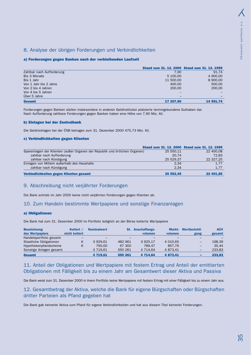## 8. Analyse der übrigen Forderungen und Verbindlichkeiten

## a) Forderungen gegen Banken nach der verbleibenden Laufzeit

|                           |                          | Stand zum 31, 12, 2000 Stand zum 31, 12, 1999 |
|---------------------------|--------------------------|-----------------------------------------------|
| Zahlbar nach Aufforderung | 7.90                     | 91.74                                         |
| <b>Bis 3 Monate</b>       | 5 100,00                 | 4 900.00                                      |
| Bis 1 Jahr                | 11 500,00                | 8 900.00                                      |
| Von 1 Jahr bis 2 Jahre    | 400.00                   | 500.00                                        |
| Von 2 bis 4 Jahren        | 200.00                   | 200.00                                        |
| Von 4 bis 5 Jahren        |                          |                                               |
| Über 5 Jahre              | $\overline{\phantom{m}}$ |                                               |
| <b>Gesamt</b>             | 17 207.90                | 14 591,74                                     |

Forderungen gegen Banken stellen insbesondere in anderen Geldinstituten platzierte termingebundene Guthaben dar. Nach Aufforderung zahlbare Forderungen gegen Banken haben eine Hõhe von 7,90 Mio. Kã.

## b) Einlagen bei der Zentralbank

Die Geldrücklagen bei der âNB betragen zum 31. Dezember 2000 475,73 Mio. Kã.

## c) Verbindlichkeiten gegen Klienten

|                                                                              |           | Stand zum 31, 12, 2000 Stand zum 31, 12, 1999 |
|------------------------------------------------------------------------------|-----------|-----------------------------------------------|
| Spareinlagen der Klienten (außer Organen der Republik und örtlichen Organen) | 25 550,11 | 22 400,08                                     |
| zahlbar nach Aufforderung                                                    | 20.74     | 72.83                                         |
| zahlbar nach Kündigung                                                       | 25 529.37 | 22 327,25                                     |
| Einlagen von Mitteln außerhalb des Haushalts                                 | 2,34      | 1,77                                          |
| zahlbar nach Kündigung                                                       | 2.34      | 1,77                                          |
| Verbindlichkeiten gegen Klienten gesamt                                      | 25 552.45 | 22 401.85                                     |

## 9. Abschreibung nicht verjährter Forderungen

Die Bank schrieb im Jahr 2000 keine nicht verjährten Forderungen gegen Klienten ab.

## 10. Zum Handeln bestimmte Wertpapiere und sonstige Finanzanlagen

## a) Obligationen

Die Bank hat zum 31. Dezember 2000 im Portfolio lediglich an der Börse kotierte Wertpapiere

| <b>Bezeichnung</b>      | Kotiert /     | <b>Nominalwert</b> |         | <b>St. Anschaffungs-</b> | Markt-      | <b>Wertherichti-</b>     | <b>AUV</b> |
|-------------------------|---------------|--------------------|---------|--------------------------|-------------|--------------------------|------------|
| des Wertpapiers         | nicht kotiert |                    |         | volumen                  | volumen     | gung                     | gesamt     |
| Handelsportfolio gesamt |               |                    |         |                          |             |                          |            |
| Staatliche Obligationen | K             | 3 9 29.61          | 482 961 | 3 9 2 5.17               | 4 0 1 5 .65 | $\qquad \qquad -$        | 198.39     |
| Hypothekenpfandscheine  | K             | 790.00             | 67 300  | 789.47                   | 857.76      | $\overline{\phantom{0}}$ | 35.44      |
| Sonstige Anlagen gesamt |               | 4 719.61           | 550 261 | 4 7 1 4 .64              | 4 873.41    | $\qquad \qquad -$        | 233.83     |
| <b>Gesamt</b>           |               | 4 719,61           | 550 261 | 4 714.64                 | 4 873.41    | -                        | 233,83     |

11. Anteil der Obligationen und Wertpapiere mit festem Ertrag und Anteil der emittierten Obligationen mit Fälligkeit bis zu einem Jahr am Gesamtwert dieser Aktiva und Passiva

Die Bank weist zum 31. Dezember 2000 in ihrem Portfolio keine Wertpapiere mit festem Ertrag mit einer Fälligkeit bis zu einem Jahr aus.

12. Gesamtbetrag der Aktiva, welche die Bank für eigene Bürgschaften oder Bürgschaften dritter Parteien als Pfand gegeben hat

Die Bank gab keinerlei Aktiva zum Pfand für eigene Verbindlichkeiten und hat aus diesem Titel keinerlei Forderungen.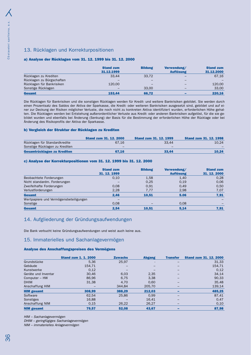# 13. Rücklagen und Korrekturpositionen

## a) Analyse der Rücklagen vom 31. 12. 1999 bis 31. 12. 2000

|                           | <b>Stand zum</b><br>31.12.1999 | <b>Bildung</b> | Verwendung/<br><b>Auflösung</b> | <b>Stand zum</b><br>31.12.2000 |
|---------------------------|--------------------------------|----------------|---------------------------------|--------------------------------|
| Rücklagen zu Krediten     | 33.44                          | 33,72          |                                 | 67,16                          |
| Rücklagen zu Bürgschaften | $\overline{\phantom{0}}$       |                |                                 |                                |
| Rücklagen für Bankrisiken | 120.00                         |                | -                               | 120,00                         |
| Sonstige Rücklagen        | $\overline{\phantom{m}}$       | 33,00          | -                               | 33,00                          |
| <b>Gesamt</b>             | 153,44                         | 66,72          |                                 | 220,16                         |

Die Rücklagen für Bankrisiken und die sonstigen Rücklagen werden für Kredit- und weitere Bankrisiken gebildet. Sie werden durch einen Prozentsatz des Saldos der Aktiva der Sparkasse, die Kredit- oder weiteren Bankrisiken ausgesetzt sind, gebildet und auf einer zur Deckung der Risiken möglicher Verluste, die noch nicht zu konkreten Aktiva identifiziert wurden, erforderlichen Höhe gehalten. Die Rücklagen werden bei Entstehung außerordentlicher Verluste aus Kredit- oder anderen Bankrisiken aufgelöst, für die sie gebildet wurden und ebenfalls bei Änderung (Senkung) der Basis für die Bestimmung der erforderlichen Höhe der Rücklage oder bei Änderung des Risikoprofils der Aktiva der Sparkasse.

### b) Vergleich der Struktur der Rücklagen zu Krediten

|                                | <b>Stand zum 31, 12, 2000</b> | <b>Stand zum 31, 12, 1999</b> | <b>Stand zum 31, 12, 1998</b> |
|--------------------------------|-------------------------------|-------------------------------|-------------------------------|
| Rücklagen für Standardkredite  | 67.16                         | 33.44                         | 10.24                         |
| Sonstige Rücklagen zu Krediten | $-$                           | $\overline{\phantom{0}}$      |                               |
| Gesamtrücklagen zu Krediten    | 67.16                         | 33.44                         | 10.24                         |

#### c) Analyse der Korrekturpositionen vom 31. 12. 1999 bis 31. 12. 2000

|                                        | <b>Stand zum</b><br>31, 12, 1999 | <b>Bildung</b> | Verwendung/<br><b>Auflösung</b> | <b>Stand zum</b><br>31, 12, 2000 |
|----------------------------------------|----------------------------------|----------------|---------------------------------|----------------------------------|
| Beobachtete Forderungen                | 0.10                             | 1,58           | 1,40                            | 0,28                             |
| Nicht standardm. Forderungen           |                                  | 0,25           | 0,19                            | 0,06                             |
| Zweifelhafte Forderungen               | 0.08                             | 0.91           | 0.49                            | 0.50                             |
| Verlustforderungen                     | 2,28                             | 7,77           | 2,98                            | 7,07                             |
| <b>Gesamt</b>                          | 2.46                             | 10.51          | 5.06                            | 7,91                             |
| Wertpapiere und Vermögensbeteiligungen | –                                |                |                                 |                                  |
| Sonstige                               | 0.08                             |                | 0.08                            |                                  |
| <b>Gesamt</b>                          | 2,54                             | 10,51          | 5.14                            | 7,91                             |

## 14. Aufgliederung der Gründungsaufwendungen

Die Bank verbucht keine Gründungsaufwendungen und weist auch keine aus.

## 15. Immaterielles und Sachanlagevermögen

### Analyse des Anschaffungspreises des Vermögens

|                     | <b>Stand zum 1, 1, 2000</b> | <b>Zuwachs</b> | <b>Abgang</b> | <b>Transfer</b> | <b>Stand zum 31. 12. 2000</b> |
|---------------------|-----------------------------|----------------|---------------|-----------------|-------------------------------|
| Grundstücke         | 5,36                        | 25,97          | -             |                 | 31,33                         |
| Gebäude             | 154,71                      |                |               |                 | 154,71                        |
| Kunstwerke          | 0,12                        |                |               |                 | 0,12                          |
| Geräte und Inventar | 30.46                       | 6.03           | 2.35          |                 | 34,14                         |
| Computer – HW       | 86,96                       | 6,75           | 3,38          |                 | 90,33                         |
| <b>DHIM</b>         | 31,38                       | 4,70           | 0.60          |                 | 35,48                         |
| Anschaffung HIM     |                             | 344.84         | 205.70        |                 | 139,14                        |
| <b>HIM gesamt</b>   | 308.99                      | 388.29         | 212,03        |                 | 485,25                        |
| Software            | 62,54                       | 25,86          | 0,99          |                 | 87,41                         |
| Sonstiges           | 16,88                       |                | 16,41         |                 | 0,47                          |
| Anschaffung NIM     | 0,15                        | 26,22          | 26,27         |                 | 0,10                          |
| <b>NIM gesamt</b>   | 79,57                       | 52,08          | 43,67         |                 | 87,98                         |

HIM – Sachanlagevermögen

DHIM – geringfügiges Sachanlagevermögen

NIM – immaterielles Anlagevermögen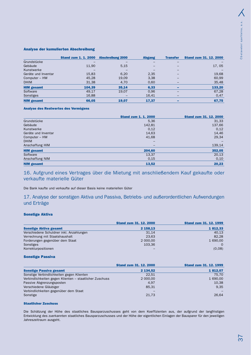## Analyse der kumulierten Abschreibung

|                     | <b>Stand zum 1, 1, 2000</b> | <b>Abschreibung 2000</b> | <b>Abgang</b> | <b>Transfer</b>                 | <b>Stand zum 31, 12, 2000</b> |
|---------------------|-----------------------------|--------------------------|---------------|---------------------------------|-------------------------------|
| Grundstücke         |                             |                          |               |                                 |                               |
| Gebäude             | 11,90                       | 5,15                     |               |                                 | 17,05                         |
| Kunstwerke          | $\overline{\phantom{m}}$    | -                        |               |                                 |                               |
| Geräte und Inventar | 15,83                       | 6,20                     | 2,35          |                                 | 19,68                         |
| Computer – HW       | 45,28                       | 19,09                    | 3,38          |                                 | 60,99                         |
| <b>DHIM</b>         | 31,38                       | 4,70                     | 0,60          |                                 | 35,48                         |
| <b>HIM gesamt</b>   | 104.39                      | 35.14                    | 6.33          | -                               | 133,20                        |
| Software            | 49,17                       | 19,07                    | 0.96          | $\qquad \qquad - \qquad \qquad$ | 67,28                         |
| Sonstiges           | 16,88                       | $\qquad \qquad -$        | 16,41         |                                 | 0,47                          |
| <b>NIM gesamt</b>   | 66.05                       | 19.07                    | 17,37         |                                 | 67,75                         |

### Analyse des Restwertes des Vermögens

|                     | <b>Stand zum 1, 1, 2000</b> | <b>Stand zum 31, 12, 2000</b> |
|---------------------|-----------------------------|-------------------------------|
| Grundstücke         | 5,36                        | 31,33                         |
| Gebäude             | 142,81                      | 137,66                        |
| Kunstwerke          | 0,12                        | 0,12                          |
| Geräte und Inventar | 14,63                       | 14,46                         |
| Computer – HW       | 41,68                       | 29,34                         |
| <b>DHIM</b>         | $\qquad \qquad -$           |                               |
| Anschaffung HIM     | $\overline{\phantom{m}}$    | 139,14                        |
| <b>HIM gesamt</b>   | 204,60                      | 352,05                        |
| Software            | 13,37                       | 20,13                         |
| Anschaffung NIM     | 0,15                        | 0,10                          |
| <b>NIM gesamt</b>   | 13,52                       | 20,23                         |

16. Aufgrund eines Vertrages über die Mietung mit anschließendem Kauf gekaufte oder verkaufte materielle Güter

Die Bank kaufte und verkaufte auf dieser Basis keine materiellen Güter

17. Analyse der sonstigen Aktiva und Passiva, Betriebs- und außerordentlichen Aufwendungen und Erträge

## Sonstige Aktiva

|                                          | <b>Stand zum 31, 12, 2000</b> | <b>Stand zum 31. 12. 1999</b> |
|------------------------------------------|-------------------------------|-------------------------------|
| <b>Sonstige Aktiva gesamt</b>            | 2 158,13                      | 1812,33                       |
| Verschiedene Schuldner inkl. Anzahlungen | 31.14                         | 40,13                         |
| Verrechnung mit Staatshaushalt           | 23.63                         | 82,28                         |
| Forderungen gegenüber dem Staat          | 2 000,00                      | 1 690,00                      |
| Sonstiges                                | 103.36                        | $\Omega$                      |
| Korrekturpositionen                      |                               | (0.08)                        |

## Sonstige Passiva

|                                                         | <b>Stand zum 31, 12, 2000</b> | <b>Stand zum 31, 12, 1999</b> |
|---------------------------------------------------------|-------------------------------|-------------------------------|
| <b>Sonstige Passiva gesamt</b>                          | 2 134.52                      | 1812,07                       |
| Sonstige Verbindlichkeiten gegen Klienten               | 22.51                         | 75.70                         |
| Verbindlichkeiten gegen Klienten - staatlicher Zuschuss | 2 000,00                      | 1 690,00                      |
| Passive Abgrenzungsposten                               | 4.97                          | 10.38                         |
| Verschiedene Gläubiger                                  | 85.31                         | 9,35                          |
| Verbindlichkeiten gegenüber dem Staat                   |                               |                               |
| Sonstige                                                | 21.73                         | 26.64                         |

### Staatlicher Zuschuss

Die Schätzung der Höhe des staatliches Bausparzuschusses geht von dem Koeffizienten aus, der aufgrund der langfristigen Entwicklung des zuerkannten staatliches Bausparzuschusses und der Höhe der eigentlichen Einlagen der Bausparer für den jeweiligen Jahreszeitraum ausgeht.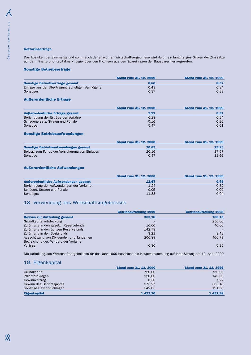## Nettozinserträge

Das Absinken der Zinsmarge und somit auch der erreichten Wirtschaftsergebnisse wird durch ein langfristiges Sinken der Zinssätze auf dem Finanz- und Kapitalmarkt gegenüber den Fixzinsen aus den Spareinlagen der Bausparer hervorgerufen.

### Sonstige Betriebserträge

|                                                 | <b>Stand zum 31, 12, 2000</b> | <b>Stand zum 31, 12, 1999</b> |
|-------------------------------------------------|-------------------------------|-------------------------------|
| Sonstige Betriebserträge gesamt                 | 0.86                          |                               |
| Erträge aus der Übertragung sonstigen Vermögens | 0.49                          | 0.34                          |
| Sonstiges                                       | 0.37                          | 0,23                          |

## Außerordentliche Erträge

|                                        | <b>Stand zum 31, 12, 2000</b> | <b>Stand zum 31, 12, 1999</b> |
|----------------------------------------|-------------------------------|-------------------------------|
| <b>Außerordentliche Erträge gesamt</b> | 5.91                          | 0.51                          |
| Berichtigung der Erträge der Vorjahre  | 0,28                          | 0,24                          |
| Schadenersatz, Strafen und Pönale      | 0,16                          | 0.26                          |
| Sonstige                               | 5.47                          | 0.01                          |

### Sonstige Betriebsaufwendungen

|                                                 | <b>Stand zum 31, 12, 2000</b> | <b>Stand zum 31, 12, 1999</b> |
|-------------------------------------------------|-------------------------------|-------------------------------|
| Sonstige Betriebsaufwendungen gesamt            | 20.63                         | 29.23                         |
| Beitrag zum Fonds der Versicherung von Einlagen | 20.16                         | 17.57                         |
| Sonstige                                        | 0.47                          | 11.66                         |

## Außerordentliche Aufwendungen

|                                            | <b>Stand zum 31, 12, 2000</b> | <b>Stand zum 31, 12, 1999</b> |
|--------------------------------------------|-------------------------------|-------------------------------|
| Außerordentliche Aufwendungen gesamt       | 12.67                         | 0.45                          |
| Berichtigung der Aufwendungen der Vorjahre | 1,24                          | 0.32                          |
| Schäden, Strafen und Pönale                | 0.05                          | 0.09                          |
| Sonstiges                                  | 11.38                         | 0.04                          |

## 18. Verwendung des Wirtschaftsergebnisses

|                                           | <b>Gewinnaufteilung 1999</b> | <b>Gewinnaufteilung 1998</b> |
|-------------------------------------------|------------------------------|------------------------------|
| <b>Gewinn zur Aufteilung gesamt</b>       | 363,18                       | 700,15                       |
| Grundkapitalaufstockung                   |                              | 250,00                       |
| Zuführung in den gesetzl. Reservefonds    | 10.00                        | 40,00                        |
| Zuführung in den übrigen Reservefonds     | 142,78                       |                              |
| Zuführung in den Sozialfonds              | 3.21                         | 3.42                         |
| Ausschüttung von Dividenden und Tantiemen | 200.89                       | 400.78                       |
| Begleichung des Verlusts der Vorjahre     |                              |                              |
| Vortrag                                   | 6.30                         | 5.95                         |

Die Aufteilung des Wirtschaftsergebnisses für das Jahr 1999 beschloss die Hauptversammlung auf ihrer Sitzung am 19. April 2000.

# 19. Eigenkapital

|                           | <b>Stand zum 31, 12, 2000</b> | <b>Stand zum 31, 12, 1999</b> |
|---------------------------|-------------------------------|-------------------------------|
| Grundkapital              | 750.00                        | 750,00                        |
| Pflichtrücklagen          | 150.00                        | 140,00                        |
| Gewinnvortrag             | 6.30                          | 7.22                          |
| Gewinn des Berichtsjahres | 173.27                        | 363,18                        |
| Sonstige Gewinnrücklagen  | 342.63                        | 191,58                        |
| <b>Eigenkapital</b>       | 1422.20                       | 1451.98                       |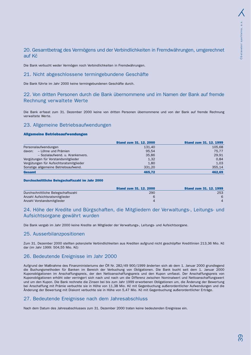## 20. Gesamtbetrag des Vermögens und der Verbindlichkeiten in Fremdwährungen, umgerechnet auf Kã

Die Bank verbucht weder Vermögen noch Verbindlichkeiten in Fremdwährungen.

## 21. Nicht abgeschlossene termingebundene Geschäfte

Die Bank führte im Jahr 2000 keine termingebundenen Geschäfte durch.

## 22. Von dritten Personen durch die Bank übernommene und im Namen der Bank auf fremde Rechnung verwaltete Werte

Die Bank erfasst zum 31. Dezember 2000 keine von dritten Personen übernommene und von der Bank auf fremde Rechnung verwaltete Werte.

## 23. Allgemeine Betriebsaufwendungen

## Allgemeine Betriebsaufwendungen

|                                         | <b>Stand zum 31, 12, 2000</b> | <b>Stand zum 31, 12, 1999</b> |
|-----------------------------------------|-------------------------------|-------------------------------|
| Personalaufwendungen                    | 131.40                        | 105,68                        |
| davon: - Löhne und Prämien              | 95.54                         | 75.77                         |
| - Sozialaufwend. u. Krankenvers.        | 35,86                         | 29.91                         |
| Vergütungen für Vorstandsmitglieder     | 1,32                          | 0.84                          |
| Vergütungen für Aufsichtsratsmitglieder | 1,80                          | 1.03                          |
| Sonstige allgemeine Betriebsaufwend.    | 331.20                        | 355.14                        |
| <b>Gesamt</b>                           | 465.72                        | 462.69                        |

#### Durchschnittliche Belegschaftszahl im Jahr 2000

|                                    | <b>Stand zum 31, 12, 2000</b> | <b>Stand zum 31, 12, 1999</b> |
|------------------------------------|-------------------------------|-------------------------------|
| Durchschnittliche Belegschaftszahl | 290                           | 253                           |
| Anzahl Aufsichtsratsmitglieder     |                               | 6                             |
| Anzahl Vorstandsmitglieder         |                               |                               |

## 24. Höhe der Kredite und Bürgschaften, die Mitgliedern der Verwaltungs-, Leitungs- und Aufsichtsorgane gewährt wurden

Die Bank vergab im Jahr 2000 keine Kredite an Mitglieder der Verwaltungs-, Leitungs- und Aufsichtsorgane.

## 25. Ausserbilanzpositionen

Zum 31. Dezember 2000 stellten potenzielle Verbindlichkeiten aus Krediten aufgrund nicht geschöpfter Kreditlinien 213,36 Mio. Kã dar (im Jahr 1999: 504,55 Mio. Kã)

## 26. Bedeutende Ereignisse im Jahr 2000

Aufgrund der Maßnahme des Finanzministeriums der âR Nr. 282/49 900/1999 änderten sich ab dem 1. Januar 2000 grundlegend die Buchungsmethoden für Banken im Bereich der Verbuchung von Obligationen. Die Bank bucht seit dem 1. Januar 2000 Kuponobligationen im Anschaffungspreis, der den Nettoanschaffungspreis und den Kupon umfasst. Der Anschaffungspreis von Kuponobligationen erhöht oder verringert sich nach und nach um die Differenz zwischen Nominalwert und Nettoanschaffungswert und um den Kupon. Die Bank rechnete die Zinsen bei bis zum Jahr 1999 erworbenen Obligationen um, die Änderung der Bewertung bei Anschaffung mit Prämie verbuchte sie in Höhe von 11,38 Mio. Kã mit Gegenbuchung außerordentlicher Aufwendungen und die Änderung der Bewertung mit Diskont verbuchte sie in Höhe von 5,47 Mio. Kã mit Gegenbuchung außerordentlicher Erträge.

## 27. Bedeutende Ereignisse nach dem Jahresabschluss

Nach dem Datum des Jahresabschlusses zum 31. Dezember 2000 traten keine bedeutenden Ereignisse ein.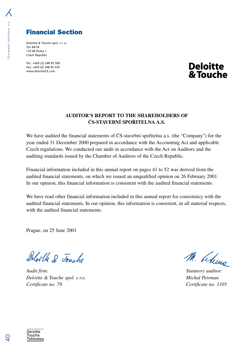# Financial Section

Deloitte & Touche spol. s r. o. Týn 641/4 110 00 Praha 1 Czech Republic

Tel.: +420 (2) 248 95 500 Fax: +420 (2) 248 95 555 www.deloitteCE.com

# **Deloitte** & Touche

# **AUDITOR'S REPORT TO THE SHAREHOLDERS OF ČS-STAVEBNÍ SPOŘITELNA A.S.**

We have audited the financial statements of  $\check{C}S$ -stavební spořitelna a.s. (the "Company") for the year ended 31 December 2000 prepared in accordance with the Accounting Act and applicable Czech regulations. We conducted our audit in accordance with the Act on Auditors and the auditing standards issued by the Chamber of Auditors of the Czech Republic.

Financial information included in this annual report on pages 41 to 52 was derived from the audited financial statements, on which we issued an unqualified opinion on 26 February 2001. In our opinion, this financial information is consistent with the audited financial statements.

We have read other financial information included in this annual report for consistency with the audited financial statements. In our opinion, this information is consistent, in all material respects, with the audited financial statements.

Prague, on 25 June 2001

Delovale & Touche

*Audit firm: Statutory auditor: Deloitte & Touche spol. s r.o. Michal Petrman Certificate no. 79 Certificate no. 1105*

M. Selema



40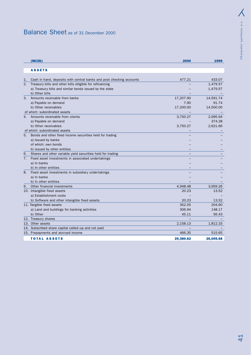# Balance Sheet as of 31 December 2000

|    | (MCZK)                                                               | 2000      | 1999      |
|----|----------------------------------------------------------------------|-----------|-----------|
|    |                                                                      |           |           |
|    | <b>ASSETS</b>                                                        |           |           |
|    |                                                                      |           |           |
| 1. | Cash in hand, deposits with central banks and post checking accounts | 477.21    | 433.07    |
| 2. | Treasury bills and other bills elligible for refinancing             |           | 1,479.57  |
|    | a) Treasury bills and similar bonds issued by the state              |           | 1,479.57  |
|    | b) Other bills                                                       |           |           |
| 3. | Amounts receivable from banks                                        | 17,207.90 | 14,591.74 |
|    | a) Payable on demand                                                 | 7.90      | 91.74     |
|    | b) Other receivables                                                 | 17,200.00 | 14,500.00 |
|    | of which: subordinated assets                                        |           |           |
| 4. | Amounts receivable from clients                                      | 3,750.27  | 2,995.94  |
|    | a) Payable on demand                                                 |           | 374.28    |
|    | b) Other receivables                                                 | 3,750.27  | 2,621.66  |
|    | of which: subordinated assets                                        |           |           |
| 5. | Bonds and other fixed income securities held for trading             |           |           |
|    | a) Issued by banks                                                   |           |           |
|    | of which: own bonds                                                  |           |           |
|    | b) issued by other entities                                          |           |           |
| 6. | Shares and other variable yield securities held for trading          |           |           |
| 7. | Fixed asset investments in associated undertakings                   |           |           |
|    | a) In banks                                                          |           |           |
|    | b) In other entities                                                 |           |           |
| 8. | Fixed asset investments in subsidiary undertakings                   |           |           |
|    | a) In banks                                                          |           |           |
|    | b) In other entities                                                 |           |           |
| 9. | Other financial investments                                          | 4,948.48  | 3,959.26  |
|    | 10. Intangible fixed assets                                          | 20.23     | 13.52     |
|    | a) Establishment costs                                               |           |           |
|    | b) Software and other intangible fixed assets                        | 20.23     | 13.52     |
|    | 11. Tangible fixed assets                                            | 352.05    | 204.60    |
|    | a) Land and buildings for banking activities                         | 306.94    | 148.17    |
|    | b) Other                                                             | 45.11     | 56.43     |
|    | 12. Treasury shares                                                  |           |           |
|    | 13. Other assets                                                     | 2,158.13  | 1,812.33  |
|    | 14. Subscribed share capital called-up and not paid                  |           |           |
|    | 15. Prepayments and accrued income                                   | 466.35    | 515.65    |
|    | <b>TOTAL ASSETS</b>                                                  | 29.380.62 | 26.005.68 |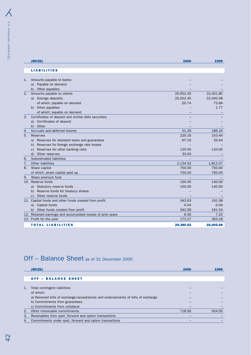|    | (MCZK)                                                      | 2000      | 1999      |
|----|-------------------------------------------------------------|-----------|-----------|
|    |                                                             |           |           |
|    | <b>LIABILITIES</b>                                          |           |           |
|    |                                                             |           |           |
| 1. | Amounts payable to banks                                    |           |           |
|    | a) Payable on demand                                        |           |           |
|    | b) Other payables                                           |           |           |
| 2. | Amounts payable to clients                                  | 25,552.45 | 22,401.85 |
|    | a) Savings deposits                                         | 25,552.45 | 22,400.08 |
|    | of which: payable on demand                                 | 20.74     | 72.84     |
|    | b) Other payables                                           |           | 1.77      |
|    | of which: payable on demand                                 |           |           |
| 3. | Certificates of deposit and similar debt securities         |           |           |
|    | a) Certificates of deposit                                  |           |           |
|    | b) Other                                                    |           |           |
| 4. | Accruals and deferred income                                | 51.29     | 186.34    |
| 5. | Reserves                                                    | 220.16    | 153.44    |
|    | Reserves for standard loans and guarantees<br>a)            | 67.16     | 33.44     |
|    | Reserves for foreign exchange rate losses<br>b)             |           |           |
|    | Reserves for other banking risks<br>$\mathsf{C}$ )          | 120.00    | 120.00    |
|    | Other reserves<br>d)                                        | 33.00     |           |
| 6. | Subordinated liabilities                                    |           |           |
| 7. | Other liabilities                                           | 2,134.52  | 1,812.07  |
| 8. | Share capital                                               | 750.00    | 750.00    |
|    | of which: share capital paid up                             | 750.00    | 750.00    |
| 9. | Share premium fund                                          |           |           |
|    | 10. Reserve funds                                           | 150.00    | 140.00    |
|    | a) Statutory reserve funds                                  | 150.00    | 140.00    |
|    | Reserve funds for treasury shares<br>b)                     |           |           |
|    | c) Other reserve funds                                      |           |           |
|    | 11. Capital funds and other funds created from profit       | 342.63    | 191.58    |
|    | a) Capital funds                                            | 0.04      | 0.04      |
|    | b) Other funds created from profit                          | 342.59    | 191.54    |
|    | 12. Retained earnings and accumulated losses of prior years | 6.30      | 7.22      |
|    | 13. Profit for the year                                     | 173.27    | 363.18    |
|    | TOTAL LIABILITIES                                           | 29.380.62 | 26.005.68 |

# Off - Balance Sheet as of 31 December 2000

|    | (MCZK)                                                                          | 2000   | 1999   |
|----|---------------------------------------------------------------------------------|--------|--------|
|    |                                                                                 |        |        |
|    | <b>OFF - BALANCE SHEET</b>                                                      |        |        |
|    |                                                                                 |        |        |
| 1. | Total contingent liabilities                                                    |        |        |
|    | of which:                                                                       |        |        |
|    | a) Received bills of exchange/acceptances and endorsements of bills of exchange |        |        |
|    | b) Commitments from guarantees                                                  |        |        |
|    | c) Commitments from collateral                                                  |        |        |
| 2. | Other irrevocable commitments                                                   | 718.56 | 504.55 |
| 3. | Receivables from spot, forward and option transactions                          |        |        |
| 4. | Commitments under spot, forward and option transactions                         |        |        |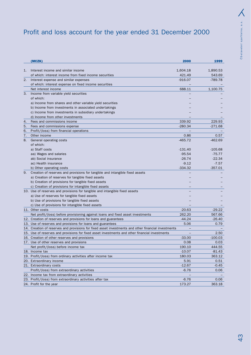# Profit and loss account for the year ended 31 December 2000

|    | (MCZK)                                                                                              | 2000      | 1999      |
|----|-----------------------------------------------------------------------------------------------------|-----------|-----------|
|    |                                                                                                     |           |           |
| 1. | Interest income and similar income                                                                  | 1,604.18  | 1,890.53  |
|    | of which: interest income from fixed income securities                                              | 421.49    | 543.69    |
| 2. | Interest expense and similar expenses                                                               | $-916.07$ | $-789.78$ |
|    | of which: interest expense on fixed income securities                                               |           |           |
|    | Net interest income                                                                                 | 688.11    | 1,100.75  |
| З. | Income from variable yield securities                                                               |           |           |
|    | of which:                                                                                           |           |           |
|    | a) Income from shares and other variable yield securities                                           |           |           |
|    | b) Income from investments in associated undertakings                                               |           |           |
|    | c) Income from investments in subsidiary undertakings                                               |           |           |
|    | d) Income from other investments                                                                    |           |           |
| 4. | Fees and commissions income                                                                         | 339.92    | 229.93    |
| 5. | Fees and commissions expense                                                                        | $-280.34$ | $-271.68$ |
| 6. | Profit/(loss) from financial operations                                                             |           |           |
| 7. | Other income                                                                                        | 0.86      | 0.57      |
| 8. | General operating costs                                                                             | $-465.72$ | $-462.69$ |
|    | of which:                                                                                           |           |           |
|    | a) Staff costs                                                                                      | $-131.40$ | $-105.68$ |
|    | aa) Wages and salaries                                                                              | $-95.54$  | $-75.77$  |
|    | ab) Social insurance                                                                                | $-26.74$  | $-22.34$  |
|    | ac) Health insurance                                                                                | $-9.12$   | $-7.57$   |
|    | b) Other operating costs                                                                            | $-334.32$ | $-357.01$ |
| 9. | Creation of reserves and provisions for tangible and intangible fixed assets                        |           |           |
|    | a) Creation of reserves for tangible fixed assets                                                   |           |           |
|    | b) Creation of provisions for tangible fixed assets                                                 |           |           |
|    | c) Creation of provisions for intangible fixed assets                                               |           |           |
|    | 10. Use of reserves and provisions for tangible and intangible fixed assets                         |           |           |
|    | a) Use of reserves for tangible fixed assets                                                        |           |           |
|    | b) Use of provisions for tangible fixed assets                                                      |           |           |
|    | c) Use of provisions for intangible fixed assets                                                    |           |           |
|    | 11. Other costs                                                                                     | $-20.63$  | $-29.22$  |
|    | Net profit/(loss) before provisioning against loans and fixed asset investments                     | 262.20    | 567.66    |
|    | 12. Creation of reserves and provisions for loans and guarantees                                    | $-44.24$  | $-26.40$  |
|    | 13. Use of reserves and provisions for loans and guarantees                                         | 5.06      | 0.79      |
|    | 14. Creation of reserves and provisions for fixed asset investments and other financial investments |           |           |
|    | 15. Use of reserves and provisions for fixed asset investments and other financial investments      |           | 2.50      |
|    | 16. Creation of other reserves and provisions                                                       | $-33.00$  | $-100.03$ |
|    | 17. Use of other reserves and provisions                                                            | 0.08      | 0.03      |
|    | Net profit/(loss) before income tax                                                                 | 190.10    | 444.55    |
|    | 18. Income tax                                                                                      | $-10.07$  | $-81.43$  |
|    | 19. Profit/(loss) from ordinary activities after income tax                                         | 180.03    | 363.12    |
|    | 20. Extraordinary income                                                                            | 5.91      | 0.51      |
|    | 21. Extraordinary costs                                                                             | $-12.67$  | $-0.45$   |
|    | Profit/(loss) from extraordinary activities                                                         | $-6.76$   | 0.06      |
|    | 22. Income tax from extraordinary activities                                                        |           |           |
|    | 23. Profit/(loss) from extraordinary activities after tax                                           | $-6.76$   | 0.06      |
|    | 24. Profit for the year                                                                             | 173.27    | 363.18    |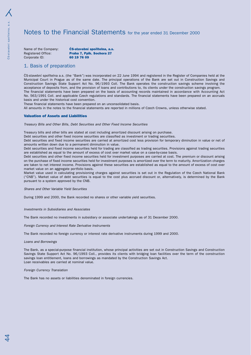# Notes to the Financial Statements for the year ended 31 December 2000

Corporate ID: 60 19 76 09

Name of the Company: **cS-stavební spořitelna, a.s.** Registered Office: Praha 7, Pplk. Sochora 27

## 1. Basis of preparation

ČS-stavební spořitelna a.s. (the "Bank") was incorporated on 22 June 1994 and registered in the Register of Companies held at the Municipal Court in Prague as of the same date. The principal operations of the Bank are set out in Construction Savings and Construction Savings State Support Act No. 96/1993 Coll. The Bank operates the construction savings scheme involving the acceptance of deposits from, and the provision of loans and contributions to, its clients under the construction savings program. The financial statements have been prepared on the basis of accounting records maintained in accordance with Accounting Act No. 563/1991 Coll. and applicable Czech regulations and standards. The financial statements have been prepared on an accruals basis and under the historical cost convention.

These financial statements have been prepared on an unconsolidated basis.

All amounts in the notes to the financial statements are reported in millions of Czech Crowns, unless otherwise stated.

## Valuation of Assets and Liabilities

Treasury Bills and Other Bills, Debt Securities and Other Fixed Income Securities

Treasury bills and other bills are stated at cost including amortized discount arising on purchase.

Debt securities and other fixed income securities are classified as investment or trading securities.

Debt securities and fixed income securities are carried at amortized cost less provision for temporary diminution in value or net of amounts written down due to a permanent diminution in value.

Debt securities and fixed income securities held for trading are classified as trading securities. Provisions against trading securities are established as equal to the amount of excess of cost over market value on a case-by-case basis.

Debt securities and other fixed income securities held for investment purposes are carried at cost. The premium or discount arising on the purchase of fixed income securities held for investment purposes is amortized over the term to maturity. Amortization charges are taken to net interest income. Provisions against these securities are established as equal to the amount of excess of cost over market value on an aggregate portfolio basis.

Market value used in calculating provisioning charges against securities is set out in the Regulation of the Czech National Bank ("CNB"). Market value of debt securities is equal to the cost plus accrued discount or, alternatively, is determined by the Bank pursuant to a system approved by the CNB.

Shares and Other Variable Yield Securities

During 1999 and 2000, the Bank recorded no shares or other variable yield securities.

Investments in Subsidiaries and Associates

The Bank recorded no investments in subsidiary or associate undertakings as of 31 December 2000.

Foreign Currency and Interest Rate Derivative Instruments

The Bank recorded no foreign currency or interest rate derivative instruments during 1999 and 2000.

#### Loans and Borrowings

The Bank, as a special-purpose financial institution, whose principal activities are set out in Construction Savings and Construction Savings State Support Act No. 96/1993 Coll., provides its clients with bridging loan facilities over the term of the construction savings loan entitlement, loans and borrowings as mandated by the Construction Savings Act. Loan receivables are carried at nominal value.

Foreign Currency Translation

The Bank has no assets or liabilities denominated in foreign currencies.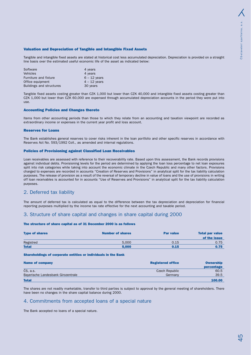## Valuation and Depreciation of Tangible and Intangible Fixed Assets

Tangible and intangible fixed assets are stated at historical cost less accumulated depreciation. Depreciation is provided on a straight line basis over the estimated useful economic life of the asset as indicated below:

| Software                 | 4 years        |
|--------------------------|----------------|
| <b>Vehicles</b>          | 4 years        |
| Furniture and fixture    | $6 - 12$ years |
| Office equipment         | $4 - 12$ years |
| Buildings and structures | 30 years       |

Tangible fixed assets costing greater than CZK 1,000 but lower than CZK 40,000 and intangible fixed assets costing greater than CZK 1,000 but lower than CZK 60,000 are expensed through accumulated depreciation accounts in the period they were put into use.

#### Accounting Policies and Changes thereto

Items from other accounting periods than those to which they relate from an accounting and taxation viewpoint are recorded as extraordinary income or expenses in the current year profit and loss account.

#### Reserves for Loans

The Bank establishes general reserves to cover risks inherent in the loan portfolio and other specific reserves in accordance with Reserves Act No. 593/1992 Coll., as amended and internal regulations.

#### Policies of Provisioning against Classified Loan Receivables

Loan receivables are assessed with reference to their recoverability rate. Based upon this assessment, the Bank records provisions against individual debts. Provisioning levels for the period are determined by applying the loan loss percentage to net loan exposures split into risk categories while taking into account the economic climate in the Czech Republic and many other factors. Provisions charged to expenses are recorded in accounts "Creation of Reserves and Provisions" in analytical split for the tax liability calculation purposes. The release of provision as a result of the reversal of temporary decline in value of loans and the use of provisions in writing off loan receivables is accounted for in accounts "Use of Reserves and Provisions" in analytical split for the tax liability calculation purposes.

## 2. Deferred tax liability

The amount of deferred tax is calculated as equal to the difference between the tax depreciation and depreciation for financial reporting purposes multiplied by the income tax rate effective for the next accounting and taxable period.

## 3. Structure of share capital and changes in share capital during 2000

#### The structure of share capital as of 31 December 2000 is as follows

| <b>Type of shares</b> | <b>Number of shares</b> | <b>Par value</b> | <b>Total par value</b><br>of the issue |
|-----------------------|-------------------------|------------------|----------------------------------------|
| Registred             | 5.000                   | 0.15             | 0.75                                   |
| <b>Total</b>          | 5.000                   | 0.15             | 0.75                                   |

#### Shareholdings of corporate entities or individuals in the Bank

| <b>Name of company</b>             | <b>Registered office</b> | <b>Ownership</b> |
|------------------------------------|--------------------------|------------------|
|                                    |                          | percentage       |
| ČS, a.s.                           | Czech Republic           | 60.5             |
| Bayerische Landesbank Girozentrale | Germany                  | 39.5             |
| <b>Total</b>                       |                          | 100.00           |

The shares are not readily marketable, transfer to third parties is subject to approval by the general meeting of shareholders. There have been no changes in the share capital balance during 2000.

## 4. Commitments from accepted loans of a special nature

The Bank accepted no loans of a special nature.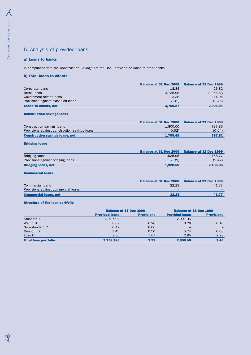# 5. Analysis of provided loans

## a) Loans to banks

In compliance with the Construction Savings Act the Bank provided no loans to other banks.

## b) Total loans to clients

|                                     | <b>Balance at 31 Dec 2000</b> | <b>Balance at 31 Dec 1999</b> |
|-------------------------------------|-------------------------------|-------------------------------|
| Corporate loans                     | 18.84                         | 26.82                         |
| Retail Ioans                        | 3.735.96                      | 2.,956.63                     |
| Government sector loans             | 3.38                          | 14.95                         |
| Provisions against classified loans | (7.91)                        | (2.46)                        |
| <b>Loans to clients, net</b>        | 3.750.27                      | 2.995.94                      |

## Construction savings loans

|                                               | <b>Balance at 31 Dec 2000</b> | <b>Balance at 31 Dec 1999</b> |
|-----------------------------------------------|-------------------------------|-------------------------------|
| Construction savings loans                    | 1,800,00                      | 787.86                        |
| Provisions against construction savings loans | (0.52)                        | (0.04)                        |
| <b>Construction savings loans, net</b>        | 1.799.48                      | 787.82                        |

## Bridging loans

|                                   | <b>Balance at 31 Dec 2000</b> | <b>Balance at 31 Dec 1999</b> |
|-----------------------------------|-------------------------------|-------------------------------|
| Bridging loans                    | 1.935.95                      | 2.168.77                      |
| Provisions against bridging loans | (7.39)                        | (2.42)                        |
| <b>Bridging loans, net</b>        | 1.928.56                      | 2.166.35                      |

## Commercial loans

|                                     |       | Balance at 31 Dec 2000 Balance at 31 Dec 1999 |
|-------------------------------------|-------|-----------------------------------------------|
| Commercial loans                    | 22.23 | 41.77                                         |
| Provisions against commercial loans |       |                                               |
| <b>Commercial loans, net</b>        | 22.23 |                                               |

## Structure of the loan portfolio

|                             |                       | <b>Balance at 31 Dec 2000</b> |                       |                   |
|-----------------------------|-----------------------|-------------------------------|-----------------------|-------------------|
|                             | <b>Provided loans</b> | <b>Provisions</b>             | <b>Provided loans</b> | <b>Provisions</b> |
| Standard A                  | 3.737.92              |                               | 2.991.95              |                   |
| Watch B                     | 8.89                  | 0.28                          | 3.26                  | 0.10              |
| Sub-standard C              | 0.42                  | 0.06                          |                       |                   |
| Doubtful D                  | 1.45                  | 0.50                          | 0.24                  | 0.08              |
| Loss E                      | 9.50                  | 7.07                          | 2.95                  | 2.28              |
| <b>Total loan portfolio</b> | 3.758.186             | 7.91                          | 2.998.40              | 2.46              |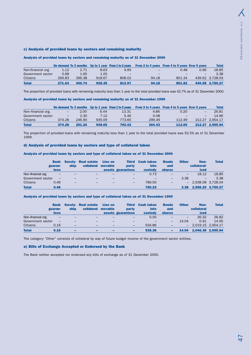### c) Analysis of provided loans by sectors and remaining maturity

#### Analysis of provided loans by sectors and remaining maturity as of 31 December 2000

|                    |        |        |        | On demand To 3 months Up to 1 year From 1 to 2 years | <b>Example 1 From 2 to 4 years From 4 to 5 years Over 5 years</b> |        |      | <b>Total</b>    |
|--------------------|--------|--------|--------|------------------------------------------------------|-------------------------------------------------------------------|--------|------|-----------------|
| Non-financial org. | 1.12   | 2.71   | 8.63   | 4.95                                                 | $\overline{\phantom{m}}$                                          | 0.48   | 0.96 | 18.85           |
| Government sector  | 0.68   | 1.65   | 1.05   | $\overline{\phantom{0}}$                             |                                                                   |        |      | 3.38            |
| Citizens           | 269.83 | 396.38 | 918.67 | 808.02                                               | 94.18                                                             | 801.34 |      | 439.62 3.728.04 |
| <b>Total</b>       | 271.63 | 400.74 | 928.35 | 812.97                                               | 94.18                                                             | 801.82 |      | 440.58 3.750.27 |

The proportion of provided loans with remaining maturity less than 1 year to the total provided loans was 42.7% as of 31 December 2000.

#### Analysis of provided loans by sectors and remaining maturity as of 31 December 1999

|                    |                   |        |        |        | On demand To 3 months Up to 1 year From 1 to 2 years From 2 to 4 years From 4 to 5 years Over 5 years |                          |                          | <b>Total</b>    |
|--------------------|-------------------|--------|--------|--------|-------------------------------------------------------------------------------------------------------|--------------------------|--------------------------|-----------------|
| Non-financial org. | $\qquad \qquad -$ | 2.00   | 6.44   | 13.31  | 4.86                                                                                                  | 0.20                     | $\overline{\phantom{m}}$ | 26.81           |
| Government sector  | $\qquad \qquad -$ | 2.30   | 7.12   | 5.46   | 0.08                                                                                                  | $\overline{\phantom{0}}$ | -                        | 14.96           |
| Citizens           | 374.28            | 246.90 | 935.09 | 773.65 | 299.49                                                                                                | 112.49                   |                          | 212.27 2.954.17 |
| <b>Total</b>       | 374.28            | 251.20 | 948.65 | 792.42 | 304.43                                                                                                | 112.69                   |                          | 212.27 2.995.94 |

The proportion of provided loans with remaining maturity less than 1 year to the total provided loans was 52.5% as of 31 December 1999.

#### d) Analysis of provided loans by sectors and type of collateral taken

#### Analysis of provided loans by sectors and type of collateral taken as of 31 December 2000

|                    | <b>Bank</b>       |                   | <b>Surety- Real estate</b> | Lien on | <b>Third</b>      | <b>Cash taken</b> | <b>Bonds</b>             | <b>Other</b> | Non-                 | <b>Total</b> |
|--------------------|-------------------|-------------------|----------------------------|---------|-------------------|-------------------|--------------------------|--------------|----------------------|--------------|
|                    | guaran-           | <b>ship</b>       | collateral                 | movable | party             | into              | and                      |              | collateral-          |              |
|                    | tees              |                   |                            |         | assets guarantees | custody           | <b>shares</b>            |              | <b>ized</b>          |              |
| Non-financial org. | $-$               |                   |                            |         |                   | 0.73              | $\qquad \qquad -$        |              | 18.12                | 18.85        |
| Government sector  | $\qquad \qquad -$ |                   |                            |         |                   |                   | $\overline{\phantom{m}}$ | 3.38         | $\qquad \qquad -$    | 3.38         |
| Citizens           | 0.46              | $\qquad \qquad -$ | $\overline{\phantom{0}}$   |         |                   | 789.50            | $-$                      |              | $-2,938.08$ 3,728.04 |              |
| <b>Total</b>       | 0.46              |                   |                            |         |                   | 790.23            |                          | 3.38         | 2.956.20 3.750.27    |              |

#### Analysis of provided loans by sectors and type of collateral taken as of 31 December 1999

|                    | <b>Bank</b><br>guaran-<br>tees | <b>ship</b>              | <b>Surety- Real estate</b><br>collateral | Lien on<br>movable       | <b>Third</b><br>party<br>assets guarantees | <b>Cash taken</b><br>into<br>custody | <b>Bonds</b><br>and<br><b>shares</b> | <b>Other</b> | Non-<br>collateral<br><b>ized</b> | <b>Total</b>      |
|--------------------|--------------------------------|--------------------------|------------------------------------------|--------------------------|--------------------------------------------|--------------------------------------|--------------------------------------|--------------|-----------------------------------|-------------------|
| Non-financial org. | $\overline{\phantom{0}}$       |                          |                                          |                          |                                            | 0.50                                 |                                      | -            | 26.32                             | 26.82             |
| Government sector  | $-$                            | $\qquad \qquad -$        | —                                        | $\overline{\phantom{0}}$ |                                            |                                      |                                      | 14.04        | 0.91                              | 14.95             |
| <b>Citizens</b>    | 0.16                           | $\overline{\phantom{m}}$ |                                          | $\overline{\phantom{0}}$ |                                            | 934.86                               |                                      | $-$          | 2,019.15 2,954.17                 |                   |
| <b>Total</b>       | 0.16                           | $\overline{\phantom{a}}$ | -                                        | -                        | -                                          | 935.36                               | $\blacksquare$                       | 14.04        |                                   | 2.046.38 2.995.94 |

The category "Other" consists of collateral by way of future budget income of the government sector entities.

#### e) Bills of Exchange Accepted or Endorsed by the Bank

The Bank neither accepted nor endorsed any bills of exchange as of 31 December 2000.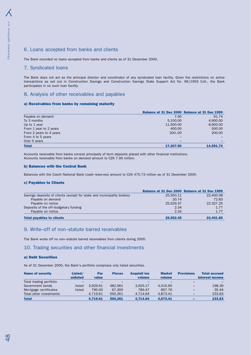# 6. Loans accepted from banks and clients

The Bank recorded no loans accepted from banks and clients as of 31 December 2000.

## 7. Syndicated loans

The Bank does not act as the principal director and coordinator of any syndicated loan facility. Given the restrictions on active transactions as set out in Construction Savings and Construction Savings State Support Act No. 96/1993 Coll., the Bank participates in no such loan facility.

## 8. Analysis of other receivables and payables

## a) Receivables from banks by remaining maturity

|                         |           | Balance at 31 Dec 2000 Balance at 31 Dec 1999 |
|-------------------------|-----------|-----------------------------------------------|
| Payable on demand       | 7.90      | 91.74                                         |
| To 3 months             | 5.100.00  | 4.900.00                                      |
| Up to $1$ year          | 11,500.00 | 8,900.00                                      |
| From 1 year to 2 years  | 400.00    | 500.00                                        |
| From 2 years to 4 years | 20000     | 200.00                                        |
| From 4 to 5 years       |           |                                               |
| Over 5 years            |           |                                               |
| <b>Total</b>            | 17.207.90 | 14,591,74                                     |

Accounts receivable from banks consist principally of term deposits placed with other financial institutions. Accounts receivable from banks on demand amount to CZK 7.90 million.

## b) Balances with the Central Bank

Balances with the Czech National Bank (cash reserves) amount to CZK 475.73 million as of 31 December 2000.

#### c) Payables to Clients

|                                                                        |           | Balance at 31 Dec 2000 Balance at 31 Dec 1999 |
|------------------------------------------------------------------------|-----------|-----------------------------------------------|
| Savings deposits of clients (except for state and municipality bodies) | 25,550.11 | 22,400.08                                     |
| Payable on demand                                                      | 20.74     | 72.83                                         |
| Payable on notice                                                      | 25.529.37 | 22,327.25                                     |
| Deposits of the off-budgetary funding                                  | 2.34      | 1.77                                          |
| Payable on notice                                                      | 2.34      | 1.77                                          |
| <b>Total payables to clients</b>                                       | 25,552,45 | 22,401.85                                     |

## 9. Write–off of non–statute barred receivables

The Bank wrote off no non–statute barred receivables from clients during 2000.

## 10. Trading securities and other financial investments

## a) Debt Securities

As of 31 December 2000, the Bank's portfolio comprises only listed securities.

| <b>Name of security</b> | Listed/<br>unlisted | Par<br>value | <b>Pieces</b> | <b>Acquisit jon</b><br>volume | <b>Market</b><br>volume | <b>Provisions</b>        | <b>Total accrued</b><br>interest income |
|-------------------------|---------------------|--------------|---------------|-------------------------------|-------------------------|--------------------------|-----------------------------------------|
| Total trading portfolio |                     |              |               |                               |                         |                          |                                         |
| Government bonds        | listed              | 3.929.61     | 482.961       | 3.925.17                      | 4,015.65                | $\overline{\phantom{0}}$ | 198.39                                  |
| Mortgage certificates   | listed              | 790.00       | 67,300        | 789.47                        | 857.76                  | $-$                      | 35.44                                   |
| Total other investments |                     | 4.719.61     | 550.261       | 4.714.64                      | 4,873.41                |                          | 233.83                                  |
| <b>Total</b>            |                     | 4.719.61     | 550,261       | 4.714.64                      | 4,873.41                | $\overline{\phantom{a}}$ | 233.83                                  |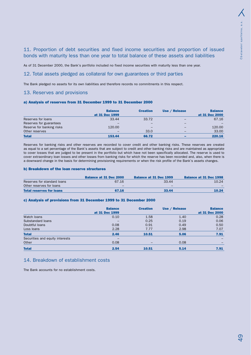## 11. Proportion of debt securities and fixed income securities and proportion of issued bonds with maturity less than one year to total balance of these assets and liabilities

As of 31 December 2000, the Bank's portfolio included no fixed income securities with maturity less than one year.

## 12. Total assets pledged as collateral for own guarantees or third parties

The Bank pledged no assets for its own liabilities and therefore records no commitments in this respect.

## 13. Reserves and provisions

## a) Analysis of reserves from 31 December 1999 to 31 December 2000

|                           | <b>Balance</b><br>at 31 Dec 1999 | <b>Creation</b> | <b>Use / Release</b>            | <b>Balance</b><br>at 31 Dec 2000 |
|---------------------------|----------------------------------|-----------------|---------------------------------|----------------------------------|
| Reserves for loans        | 33.44                            | 33.72           | $\qquad \qquad - \qquad \qquad$ | 67.16                            |
| Reserves for guarantees   |                                  |                 |                                 |                                  |
| Reserve for banking risks | 120.00                           |                 | $\overline{\phantom{m}}$        | 120.00                           |
| Other reserves            | $\overline{\phantom{0}}$         | 33.0            | $\overline{\phantom{0}}$        | 33.00                            |
| <b>Total</b>              | 153.44                           | 66.72           | -                               | 220.16                           |

Reserves for banking risks and other reserves are recorded to cover credit and other banking risks. These reserves are created as equal to a set percentage of the Bank's assets that are subject to credit and other banking risks and are maintained as appropriate to cover losses that are judged to be present in the portfolio but which have not been specifically allocated. The reserve is used to cover extraordinary loan losses and other losses from banking risks for which the reserve has been recorded and, also, when there is a downward change in the basis for determining provisioning requirements or when the risk profile of the Bank's assets changes.

#### b) Breakdown of the loan reserve structures

|                                 | <b>Balance at 31 Dec 2000</b> | <b>Balance at 31 Dec 1999</b> | <b>Balance at 31 Dec 1998</b> |
|---------------------------------|-------------------------------|-------------------------------|-------------------------------|
| Reserves for standard loans     | 67.16                         | 33.44                         | 10.24                         |
| Other reserves for loans        | $-$                           | $\overline{\phantom{0}}$      |                               |
| <b>Total reserves for loans</b> | 67.16                         | 33.44                         | 10.24                         |

## c) Analysis of provisions from 31 December 1999 to 31 December 2000

|                                 | <b>Balance</b><br>at 31 Dec 1999 | <b>Creation</b> | Use / Release | <b>Balance</b><br>at 31 Dec 2000 |
|---------------------------------|----------------------------------|-----------------|---------------|----------------------------------|
| Watch Ioans                     | 0.10                             | 1.58            | 1.40          | 0.28                             |
| Substandard loans               |                                  | 0.25            | 0.19          | 0.06                             |
| Doubtful loans                  | 0.08                             | 0.91            | 0.49          | 0.50                             |
| Loss Ioans                      | 2.28                             | 7.77            | 2.98          | 7.07                             |
| <b>Total</b>                    | 2.46                             | 10.51           | 5.06          | 7.91                             |
| Securities and equity interests | $\overline{\phantom{0}}$         |                 |               |                                  |
| Other                           | 0.08                             | -               | 0.08          |                                  |
| <b>Total</b>                    | 2.54                             | 10.51           | 5.14          | 7.91                             |

## 14. Breakdown of establishment costs

The Bank accounts for no establishment costs.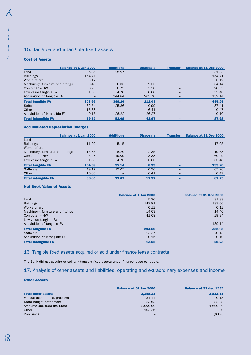# 15. Tangible and intangible fixed assets

## **Cost of Assets**

|                                   | <b>Balance at 1 Jan 2000</b> | <b>Additions</b> | <b>Disposals</b> | <b>Transfer</b> | <b>Balance at 31 Dec 2000</b> |
|-----------------------------------|------------------------------|------------------|------------------|-----------------|-------------------------------|
| Land                              | 5.36                         | 25.97            | –                |                 | 31.33                         |
| <b>Buildings</b>                  | 154.71                       |                  |                  |                 | 154.71                        |
| Works of art                      | 0.12                         |                  |                  |                 | 0.12                          |
| Machinery, furniture and fittings | 30.46                        | 6.03             | 2.35             |                 | 34.14                         |
| Computer – HW                     | 86.96                        | 6.75             | 3.38             |                 | 90.33                         |
| Low value tangible FA             | 31.38                        | 4.70             | 0.60             |                 | 35.48                         |
| Acquisition of tangible FA        |                              | 344.84           | 205.70           |                 | 139.14                        |
| <b>Total tangible FA</b>          | 308,99                       | 388.29           | 212.03           |                 | 485.25                        |
| Software                          | 62.54                        | 25.86            | 0.99             |                 | 87.41                         |
| Other                             | 16.88                        |                  | 16.41            |                 | 0.47                          |
| Acquisition of intangible FA      | 0.15                         | 26.22            | 26.27            |                 | 0.10                          |
| <b>Total intangible FA</b>        | 79.57                        | 52.08            | 43.67            | $\blacksquare$  | 87.98                         |

## **Accumulated Depreciation Charges**

|                                   | <b>Balance at 1 Jan 2000</b> | <b>Additions</b>         | <b>Disposals</b> | <b>Transfer</b> | <b>Balance at 31 Dec 2000</b> |
|-----------------------------------|------------------------------|--------------------------|------------------|-----------------|-------------------------------|
| Land                              |                              |                          |                  |                 |                               |
| <b>Buildings</b>                  | 11.90                        | 5.15                     |                  |                 | 17.05                         |
| Works of art                      |                              |                          |                  |                 |                               |
| Machinery, furniture and fittings | 15.83                        | 6.20                     | 2.35             |                 | 19.68                         |
| Computer - HW                     | 45.28                        | 19.09                    | 3.38             |                 | 60.99                         |
| Low value tangible FA             | 31.38                        | 4.70                     | 0.60             |                 | 35.48                         |
| <b>Total tangible FA</b>          | 104.39                       | 35.14                    | 6.33             |                 | 133.20                        |
| Software                          | 49.17                        | 19.07                    | 0.96             |                 | 67.28                         |
| Other                             | 16.88                        | $\overline{\phantom{0}}$ | 16.41            |                 | 0.47                          |
| <b>Total intangible FA</b>        | 66.05                        | 19.07                    | 17.37            | $\blacksquare$  | 67.75                         |

## **Net Book Value of Assets**

|                                   | <b>Balance at 1 Jan 2000</b> | <b>Balance at 31 Dec 2000</b> |
|-----------------------------------|------------------------------|-------------------------------|
| Land                              | 5.36                         | 31.33                         |
| <b>Buildings</b>                  | 142.81                       | 137.66                        |
| Works of art                      | 0.12                         | 0.12                          |
| Machinery, furniture and fittings | 14.63                        | 14.46                         |
| Computer – HW                     | 41.68                        | 29.34                         |
| Low value tangible FA             |                              |                               |
| Acquisition of tangible FA        |                              | 139.14                        |
| <b>Total tangible FA</b>          | 204.60                       | 352.05                        |
| Software                          | 13.37                        | 20.13                         |
| Acquisition of intangible FA      | 0.15                         | 0.10                          |
| <b>Total intangible FA</b>        | 13.52                        | 20.23                         |

# 16. Tangible fixed assets acquired or sold under finance lease contracts

The Bank did not acquire or sell any tangible fixed assets under finance lease contracts.

## 17. Analysis of other assets and liabilities, operating and extraordinary expenses and income

## **Other Assets**

|                                   | <b>Balance at 31 Jan 2000</b> | <b>Balance at 31 dec 1999</b> |
|-----------------------------------|-------------------------------|-------------------------------|
| <b>Total other assets</b>         | 2.158.13                      | 1,812.33                      |
| Various debtors incl. prepayments | 31.14                         | 40.13                         |
| State budget settlement           | 23.63                         | 82.28                         |
| Amounts due from the State        | 2,000.00                      | 1,690.00                      |
| Other                             | 103.36                        | $\Omega$                      |
| Provisions                        |                               | (0.08)                        |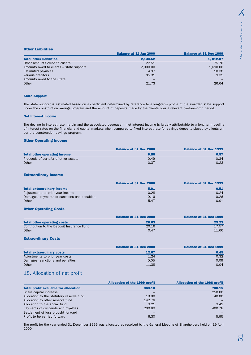## Other Liabilities

|                                         | <b>Balance at 31 Jan 2000</b> | <b>Balance at 31 Dec 1999</b> |
|-----------------------------------------|-------------------------------|-------------------------------|
| <b>Total other liabilities</b>          | 2.134.52                      | 1, 812.07                     |
| Other amounts owed to clients           | 22.51                         | 75.70                         |
| Amounts owed to clients – state support | 2,000.00                      | 1,690.00                      |
| Estimated payables                      | 4.97                          | 10.38                         |
| Various creditors                       | 85.31                         | 9.35                          |
| Amounts owed to the State               |                               |                               |
| Other                                   | 21.73                         | 26.64                         |

#### State Support

The state support is estimated based on a coefficient determined by reference to a long-term profile of the awarded state support under the construction savings program and the amount of deposits made by the clients over a relevant twelve-month period.

## Net Interest Income

The decline in interest rate margin and the associated decrease in net interest income is largely attributable to a long-term decline of interest rates on the financial and capital markets when compared to fixed interest rate for savings deposits placed by clients under the construction savings program.

#### Other Operating Income

|                                      | <b>Balance at 31 Dec 2000</b> | <b>Balance at 31 Dec 1999</b> |
|--------------------------------------|-------------------------------|-------------------------------|
| <b>Total other operating income</b>  | 0.86                          | 0.57                          |
| Proceeds of transfer of other assets | 0.49                          | 0.34                          |
| Other                                | 0.37                          | 0.23                          |

### Extraordinary Income

|                                              | <b>Balance at 31 Dec 2000</b> | <b>Balance at 31 Dec 1999</b> |
|----------------------------------------------|-------------------------------|-------------------------------|
| <b>Total extraordinary income</b>            | 5.91                          | 0.51                          |
| Adjustments to prior year income             | 0.28                          | 0.24                          |
| Damages, payments of sanctions and penalties | 0.16                          | 0.26                          |
| Other                                        | 5.47                          | 0.01                          |

## Other Operating Costs

|                                            | <b>Balance at 31 Dec 2000</b> | <b>Balance at 31 Dec 1999</b> |
|--------------------------------------------|-------------------------------|-------------------------------|
| <b>Total other operating costs</b>         | 20.63                         | 29.23                         |
| Contribution to the Deposit Insurance Fund | 20.16                         | 17.57                         |
| Other                                      | 0.47                          | 11.66                         |

## Extraordinary Costs

|                                  | <b>Balance at 31 Dec 2000</b> | <b>Balance at 31 Dec 1999</b> |
|----------------------------------|-------------------------------|-------------------------------|
| <b>Total extraordinary costs</b> | 12.67                         | 0.45                          |
| Adjustments to prior year costs  | 1.24                          | 0.32                          |
| Damages, sanctions and penalties | 0.05                          | 0.09                          |
| Other                            | 11.38                         | 0.04                          |

## 18. Allocation of net profit

|                                              | <b>Allocation of the 1999 profit</b> | <b>Allocation of the 1998 profit</b> |
|----------------------------------------------|--------------------------------------|--------------------------------------|
| <b>Total profit available for allocation</b> | 363.18                               | 700.15                               |
| Share capital increase                       |                                      | 250.00                               |
| Allocation to the statutory reserve fund     | 10.00                                | 40.00                                |
| Allocation to other reserve fund             | 142.78                               |                                      |
| Allocation to the social fund                | 3.21                                 | 3.42                                 |
| Payments of dividends and royalties          | 200.89                               | 400.78                               |
| Settlement of loss brought forward           |                                      |                                      |
| Profit to be carried forward                 | 6.30                                 | 5.95                                 |

The profit for the year ended 31 December 1999 was allocated as resolved by the General Meeting of Shareholders held on 19 April 2000.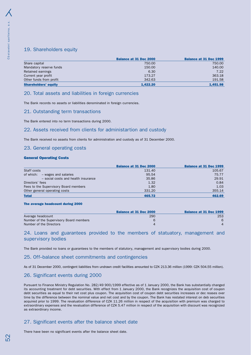# 19. Shareholders equity

|                             | <b>Balance at 31 Dec 2000</b> | <b>Balance at 31 Dec 1999</b> |
|-----------------------------|-------------------------------|-------------------------------|
| Share capital               | 750.00                        | 750.00                        |
| Mandatory reserve funds     | 150.00                        | 140.00                        |
| Retained earnings           | 6.30                          | 7.22                          |
| Current year profit         | 173.27                        | 363.18                        |
| Other funds from profit     | 342.63                        | 191.58                        |
| <b>Shareholders' equity</b> | 1,422.20                      | 1,451.98                      |

## 20. Total assets and liabilities in foreign currencies

The Bank records no assets or liabilities denominated in foreign currencies.

## 21. Outstanding term transactions

The Bank entered into no term transactions during 2000.

## 22. Assets received from clients for administartion and custody

The Bank received no assets from clients for administration and custody as of 31 December 2000.

## 23. General operating costs

## General Operating Costs

|                                       | <b>Balance at 31 Dec 2000</b> | <b>Balance at 31 Dec 1999</b> |
|---------------------------------------|-------------------------------|-------------------------------|
| Staff costs                           | 131.40                        | 105.67                        |
| of which: – wages and salaries        | 95.54                         | 75.77                         |
| - social costs and health insurance   | 35.86                         | 29.91                         |
| Directors' fees                       | 1.32                          | 0.84                          |
| Fees to the Supervisory Board members | 1.80                          | 1.03                          |
| Other general operating costs         | 331.20                        | 355.14                        |
| <b>Total</b>                          | 465.72                        | 462.69                        |

## The average headcount during 2000

|                                         | <b>Balance at 31 Dec 2000</b> | <b>Balance at 31 Dec 1999</b> |
|-----------------------------------------|-------------------------------|-------------------------------|
| Average headcount                       | 290                           | 253                           |
| Number of the Supervisory Board members |                               | 6                             |
| Number of the Directors                 |                               |                               |

## 24. Loans and guarantees provided to the members of statuatory, management and supervisory bodies

The Bank provided no loans or guarantees to the members of statutory, management and supervisory bodies during 2000.

## 25. Off–balance sheet commitments and contingencies

As of 31 December 2000, contingent liabilities from undrawn credit facilities amounted to CZK 213.36 million (1999: CZK 504.55 million).

## 26. Significant events during 2000

Pursuant to Finance Ministry Regulation No. 282/49 900/1999 effective as of 1 January 2000, the Bank has substantially changed its accounting treatment for debt securities. With effect from 1 January 2000, the Bank recognizes the acquisition cost of coupon debt securities as equal to their net cost plus coupon. The acquisition cost of coupon debt securities increases or dec reases over time by the difference between the nominal value and net cost and by the coupon. The Bank has restated interest on deb securities acquired prior to 1999. The revaluation difference of CZK 11.26 million in respect of the acquisition with premium was charged to extraordinary expenses and the revaluation difference of CZK 5.47 million in respect of the acquisition with discount was recognized as extraordinary income.

# 27. Significant events after the balance sheet date

There have been no significant events after the balance sheet date.